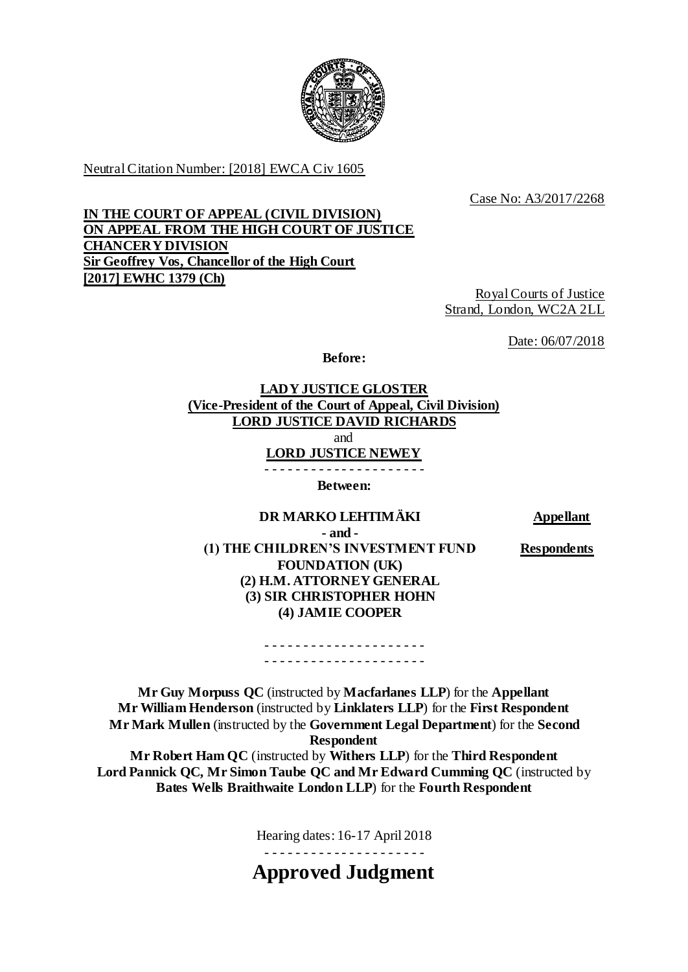

Neutral Citation Number: [2018] EWCA Civ 1605

Case No: A3/2017/2268

# **IN THE COURT OF APPEAL (CIVIL DIVISION) ON APPEAL FROM THE HIGH COURT OF JUSTICE CHANCERY DIVISION Sir Geoffrey Vos, Chancellor of the High Court [2017] EWHC 1379 (Ch)**

Royal Courts of Justice Strand, London, WC2A 2LL

Date: 06/07/2018

**Before:**

**LADY JUSTICE GLOSTER (Vice-President of the Court of Appeal, Civil Division) LORD JUSTICE DAVID RICHARDS** and **LORD JUSTICE NEWEY** - - - - - - - - - - - - - - - - - - - - -

**Between:**

**DR MARKO LEHTIMÄKI Appellant**

**Respondents**

**- and - (1) THE CHILDREN'S INVESTMENT FUND FOUNDATION (UK) (2) H.M. ATTORNEY GENERAL (3) SIR CHRISTOPHER HOHN (4) JAMIE COOPER**

> - - - - - - - - - - - - - - - - - - - - - - - - - - - - - - - - - - - - - - - - - -

**Mr Guy Morpuss QC** (instructed by **Macfarlanes LLP**) for the **Appellant Mr William Henderson** (instructed by **Linklaters LLP**) for the **First Respondent Mr Mark Mullen** (instructed by the **Government Legal Department**) for the **Second Respondent Mr Robert Ham QC** (instructed by **Withers LLP**) for the **Third Respondent**

**Lord Pannick QC, Mr Simon Taube QC and Mr Edward Cumming QC** (instructed by **Bates Wells Braithwaite London LLP**) for the **Fourth Respondent**

Hearing dates: 16-17 April 2018

- - - - - - - - - - - - - - - - - - - - -

**Approved Judgment**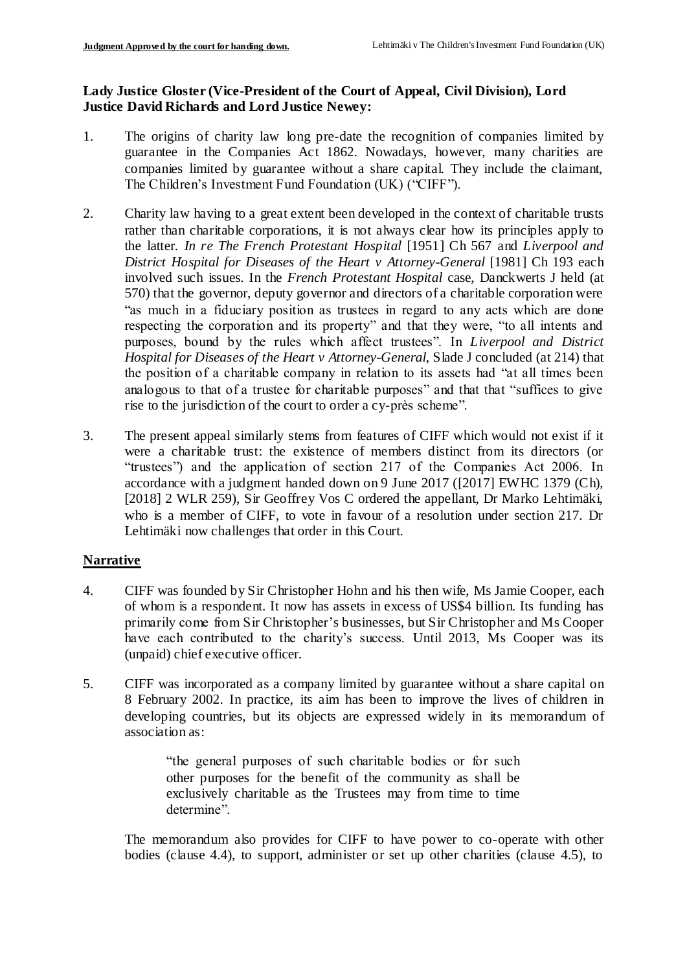### **Lady Justice Gloster (Vice-President of the Court of Appeal, Civil Division), Lord Justice David Richards and Lord Justice Newey:**

- 1. The origins of charity law long pre-date the recognition of companies limited by guarantee in the Companies Act 1862. Nowadays, however, many charities are companies limited by guarantee without a share capital. They include the claimant, The Children's Investment Fund Foundation (UK) ("CIFF").
- 2. Charity law having to a great extent been developed in the context of charitable trusts rather than charitable corporations, it is not always clear how its principles apply to the latter. *In re The French Protestant Hospital* [1951] Ch 567 and *Liverpool and District Hospital for Diseases of the Heart v Attorney-General* [1981] Ch 193 each involved such issues. In the *French Protestant Hospital* case, Danckwerts J held (at 570) that the governor, deputy governor and directors of a charitable corporation were "as much in a fiduciary position as trustees in regard to any acts which are done respecting the corporation and its property" and that they were, "to all intents and purposes, bound by the rules which affect trustees". In *Liverpool and District Hospital for Diseases of the Heart v Attorney-General*, Slade J concluded (at 214) that the position of a charitable company in relation to its assets had "at all times been analogous to that of a trustee for charitable purposes" and that that "suffices to give rise to the jurisdiction of the court to order a cy-près scheme".
- 3. The present appeal similarly stems from features of CIFF which would not exist if it were a charitable trust: the existence of members distinct from its directors (or "trustees") and the application of section 217 of the Companies Act 2006. In accordance with a judgment handed down on 9 June 2017 ([2017] EWHC 1379 (Ch), [2018] 2 WLR 259), Sir Geoffrey Vos C ordered the appellant, Dr Marko Lehtimäki, who is a member of CIFF, to vote in favour of a resolution under section 217. Dr Lehtimäki now challenges that order in this Court.

## **Narrative**

- 4. CIFF was founded by Sir Christopher Hohn and his then wife, Ms Jamie Cooper, each of whom is a respondent. It now has assets in excess of US\$4 billion. Its funding has primarily come from Sir Christopher's businesses, but Sir Christopher and Ms Cooper have each contributed to the charity's success. Until 2013, Ms Cooper was its (unpaid) chief executive officer.
- 5. CIFF was incorporated as a company limited by guarantee without a share capital on 8 February 2002. In practice, its aim has been to improve the lives of children in developing countries, but its objects are expressed widely in its memorandum of association as:

"the general purposes of such charitable bodies or for such other purposes for the benefit of the community as shall be exclusively charitable as the Trustees may from time to time determine".

The memorandum also provides for CIFF to have power to co-operate with other bodies (clause 4.4), to support, administer or set up other charities (clause 4.5), to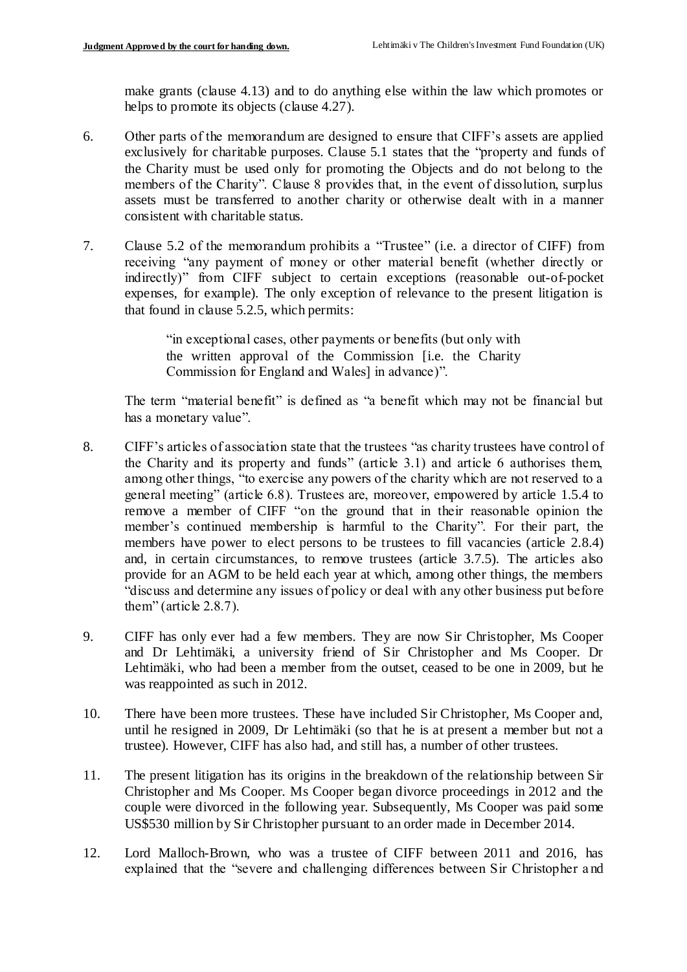make grants (clause 4.13) and to do anything else within the law which promotes or helps to promote its objects (clause 4.27).

- 6. Other parts of the memorandum are designed to ensure that CIFF's assets are applied exclusively for charitable purposes. Clause 5.1 states that the "property and funds of the Charity must be used only for promoting the Objects and do not belong to the members of the Charity". Clause 8 provides that, in the event of dissolution, surplus assets must be transferred to another charity or otherwise dealt with in a manner consistent with charitable status.
- 7. Clause 5.2 of the memorandum prohibits a "Trustee" (i.e. a director of CIFF) from receiving "any payment of money or other material benefit (whether directly or indirectly)" from CIFF subject to certain exceptions (reasonable out-of-pocket expenses, for example). The only exception of relevance to the present litigation is that found in clause 5.2.5, which permits:

"in exceptional cases, other payments or benefits (but only with the written approval of the Commission [i.e. the Charity Commission for England and Wales] in advance)".

The term "material benefit" is defined as "a benefit which may not be financial but has a monetary value".

- 8. CIFF's articles of association state that the trustees "as charity trustees have control of the Charity and its property and funds" (article 3.1) and article 6 authorises them, among other things, "to exercise any powers of the charity which are not reserved to a general meeting" (article 6.8). Trustees are, moreover, empowered by article 1.5.4 to remove a member of CIFF "on the ground that in their reasonable opinion the member's continued membership is harmful to the Charity". For their part, the members have power to elect persons to be trustees to fill vacancies (article 2.8.4) and, in certain circumstances, to remove trustees (article 3.7.5). The articles also provide for an AGM to be held each year at which, among other things, the members "discuss and determine any issues of policy or deal with any other business put before them" (article 2.8.7).
- 9. CIFF has only ever had a few members. They are now Sir Christopher, Ms Cooper and Dr Lehtimäki, a university friend of Sir Christopher and Ms Cooper. Dr Lehtimäki, who had been a member from the outset, ceased to be one in 2009, but he was reappointed as such in 2012.
- 10. There have been more trustees. These have included Sir Christopher, Ms Cooper and, until he resigned in 2009, Dr Lehtimäki (so that he is at present a member but not a trustee). However, CIFF has also had, and still has, a number of other trustees.
- 11. The present litigation has its origins in the breakdown of the relationship between Sir Christopher and Ms Cooper. Ms Cooper began divorce proceedings in 2012 and the couple were divorced in the following year. Subsequently, Ms Cooper was paid some US\$530 million by Sir Christopher pursuant to an order made in December 2014.
- 12. Lord Malloch-Brown, who was a trustee of CIFF between 2011 and 2016, has explained that the "severe and challenging differences between Sir Christopher a nd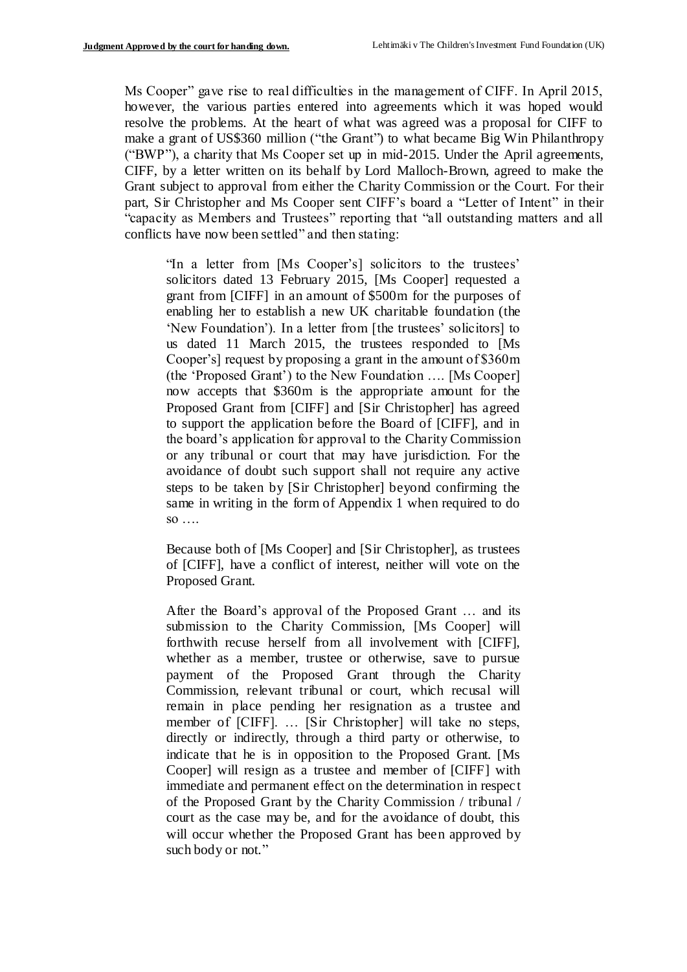Ms Cooper" gave rise to real difficulties in the management of CIFF. In April 2015, however, the various parties entered into agreements which it was hoped would resolve the problems. At the heart of what was agreed was a proposal for CIFF to make a grant of US\$360 million ("the Grant") to what became Big Win Philanthropy ("BWP"), a charity that Ms Cooper set up in mid-2015. Under the April agreements, CIFF, by a letter written on its behalf by Lord Malloch-Brown, agreed to make the Grant subject to approval from either the Charity Commission or the Court. For their part, Sir Christopher and Ms Cooper sent CIFF's board a "Letter of Intent" in their "capacity as Members and Trustees" reporting that "all outstanding matters and all conflicts have now been settled" and then stating:

"In a letter from [Ms Cooper's] solicitors to the trustees' solicitors dated 13 February 2015, [Ms Cooper] requested a grant from [CIFF] in an amount of \$500m for the purposes of enabling her to establish a new UK charitable foundation (the 'New Foundation'). In a letter from [the trustees' solicitors] to us dated 11 March 2015, the trustees responded to [Ms Cooper's] request by proposing a grant in the amount of \$360m (the 'Proposed Grant') to the New Foundation …. [Ms Cooper] now accepts that \$360m is the appropriate amount for the Proposed Grant from [CIFF] and [Sir Christopher] has agreed to support the application before the Board of [CIFF], and in the board's application for approval to the Charity Commission or any tribunal or court that may have jurisdiction. For the avoidance of doubt such support shall not require any active steps to be taken by [Sir Christopher] beyond confirming the same in writing in the form of Appendix 1 when required to do so ….

Because both of [Ms Cooper] and [Sir Christopher], as trustees of [CIFF], have a conflict of interest, neither will vote on the Proposed Grant.

After the Board's approval of the Proposed Grant … and its submission to the Charity Commission, [Ms Cooper] will forthwith recuse herself from all involvement with [CIFF], whether as a member, trustee or otherwise, save to pursue payment of the Proposed Grant through the Charity Commission, relevant tribunal or court, which recusal will remain in place pending her resignation as a trustee and member of [CIFF]. … [Sir Christopher] will take no steps, directly or indirectly, through a third party or otherwise, to indicate that he is in opposition to the Proposed Grant. [Ms Cooper] will resign as a trustee and member of [CIFF] with immediate and permanent effect on the determination in respect of the Proposed Grant by the Charity Commission / tribunal / court as the case may be, and for the avoidance of doubt, this will occur whether the Proposed Grant has been approved by such body or not."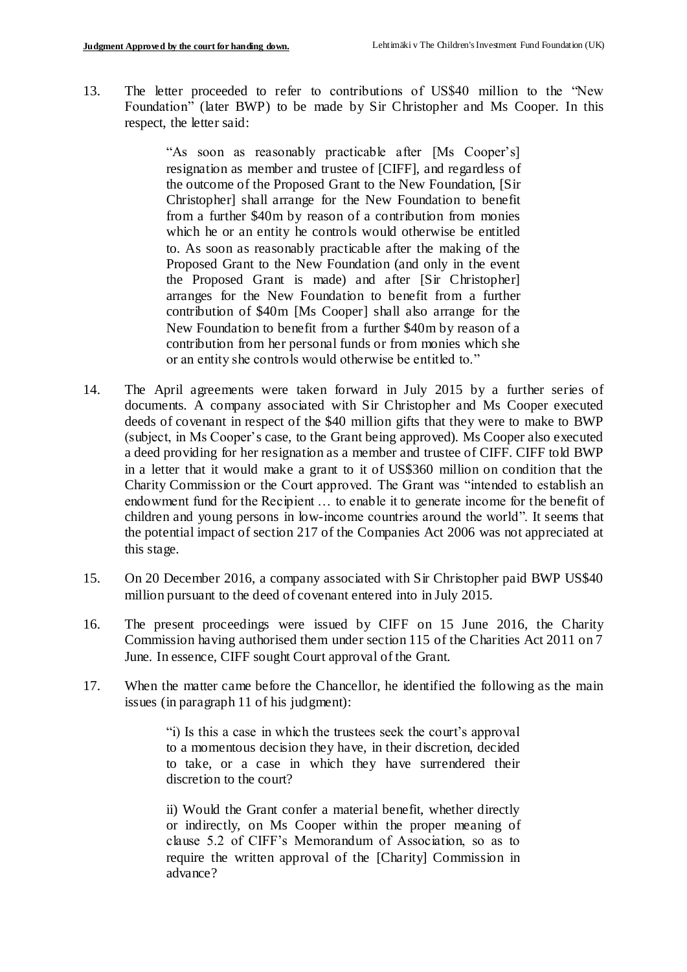13. The letter proceeded to refer to contributions of US\$40 million to the "New Foundation" (later BWP) to be made by Sir Christopher and Ms Cooper. In this respect, the letter said:

> "As soon as reasonably practicable after [Ms Cooper's] resignation as member and trustee of [CIFF], and regardless of the outcome of the Proposed Grant to the New Foundation, [Sir Christopher] shall arrange for the New Foundation to benefit from a further \$40m by reason of a contribution from monies which he or an entity he controls would otherwise be entitled to. As soon as reasonably practicable after the making of the Proposed Grant to the New Foundation (and only in the event the Proposed Grant is made) and after [Sir Christopher] arranges for the New Foundation to benefit from a further contribution of \$40m [Ms Cooper] shall also arrange for the New Foundation to benefit from a further \$40m by reason of a contribution from her personal funds or from monies which she or an entity she controls would otherwise be entitled to."

- 14. The April agreements were taken forward in July 2015 by a further series of documents. A company associated with Sir Christopher and Ms Cooper executed deeds of covenant in respect of the \$40 million gifts that they were to make to BWP (subject, in Ms Cooper's case, to the Grant being approved). Ms Cooper also executed a deed providing for her resignation as a member and trustee of CIFF. CIFF told BWP in a letter that it would make a grant to it of US\$360 million on condition that the Charity Commission or the Court approved. The Grant was "intended to establish an endowment fund for the Recipient … to enable it to generate income for the benefit of children and young persons in low-income countries around the world". It seems that the potential impact of section 217 of the Companies Act 2006 was not appreciated at this stage.
- 15. On 20 December 2016, a company associated with Sir Christopher paid BWP US\$40 million pursuant to the deed of covenant entered into in July 2015.
- 16. The present proceedings were issued by CIFF on 15 June 2016, the Charity Commission having authorised them under section 115 of the Charities Act 2011 on 7 June. In essence, CIFF sought Court approval of the Grant.
- 17. When the matter came before the Chancellor, he identified the following as the main issues (in paragraph 11 of his judgment):

"i) Is this a case in which the trustees seek the court's approval to a momentous decision they have, in their discretion, decided to take, or a case in which they have surrendered their discretion to the court?

ii) Would the Grant confer a material benefit, whether directly or indirectly, on Ms Cooper within the proper meaning of clause 5.2 of CIFF's Memorandum of Association, so as to require the written approval of the [Charity] Commission in advance?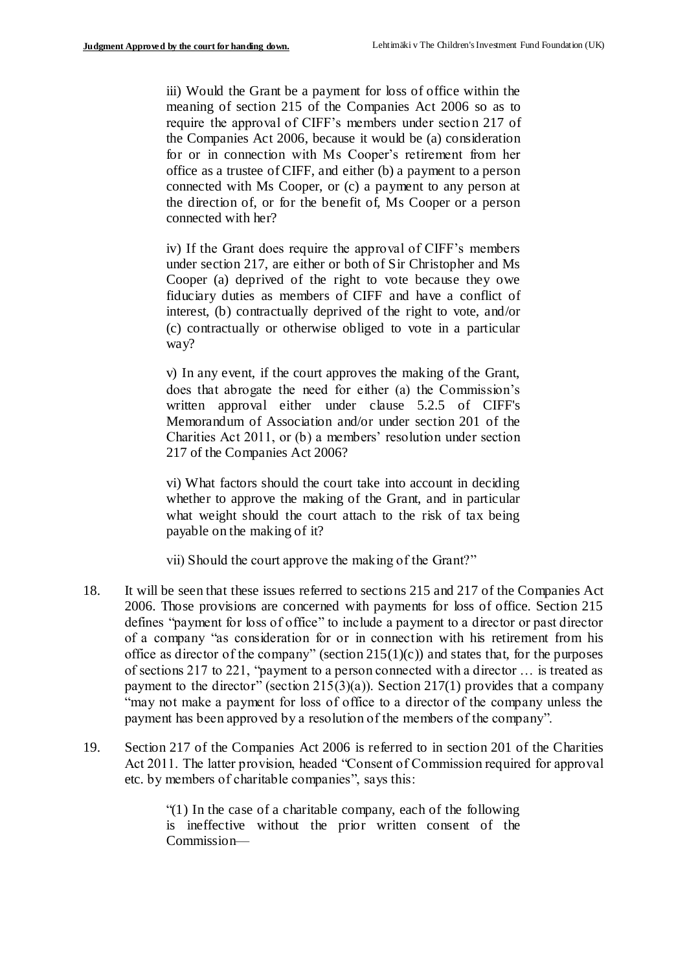iii) Would the Grant be a payment for loss of office within the meaning of section 215 of the Companies Act 2006 so as to require the approval of CIFF's members under section 217 of the Companies Act 2006, because it would be (a) consideration for or in connection with Ms Cooper's retirement from her office as a trustee of CIFF, and either (b) a payment to a person connected with Ms Cooper, or (c) a payment to any person at the direction of, or for the benefit of, Ms Cooper or a person connected with her?

iv) If the Grant does require the approval of CIFF's members under section 217, are either or both of Sir Christopher and Ms Cooper (a) deprived of the right to vote because they owe fiduciary duties as members of CIFF and have a conflict of interest, (b) contractually deprived of the right to vote, and/or (c) contractually or otherwise obliged to vote in a particular way?

v) In any event, if the court approves the making of the Grant, does that abrogate the need for either (a) the Commission's written approval either under clause 5.2.5 of CIFF's Memorandum of Association and/or under section 201 of the Charities Act 2011, or (b) a members' resolution under section 217 of the Companies Act 2006?

vi) What factors should the court take into account in deciding whether to approve the making of the Grant, and in particular what weight should the court attach to the risk of tax being payable on the making of it?

vii) Should the court approve the making of the Grant?"

- 18. It will be seen that these issues referred to sections 215 and 217 of the Companies Act 2006. Those provisions are concerned with payments for loss of office. Section 215 defines "payment for loss of office" to include a payment to a director or past director of a company "as consideration for or in connection with his retirement from his office as director of the company" (section  $215(1)(c)$ ) and states that, for the purposes of sections 217 to 221, "payment to a person connected with a director … is treated as payment to the director" (section 215(3)(a)). Section 217(1) provides that a company "may not make a payment for loss of office to a director of the company unless the payment has been approved by a resolution of the members of the company".
- 19. Section 217 of the Companies Act 2006 is referred to in section 201 of the Charities Act 2011. The latter provision, headed "Consent of Commission required for approval etc. by members of charitable companies", says this:

"(1) In the case of a charitable company, each of the following is ineffective without the prior written consent of the Commission—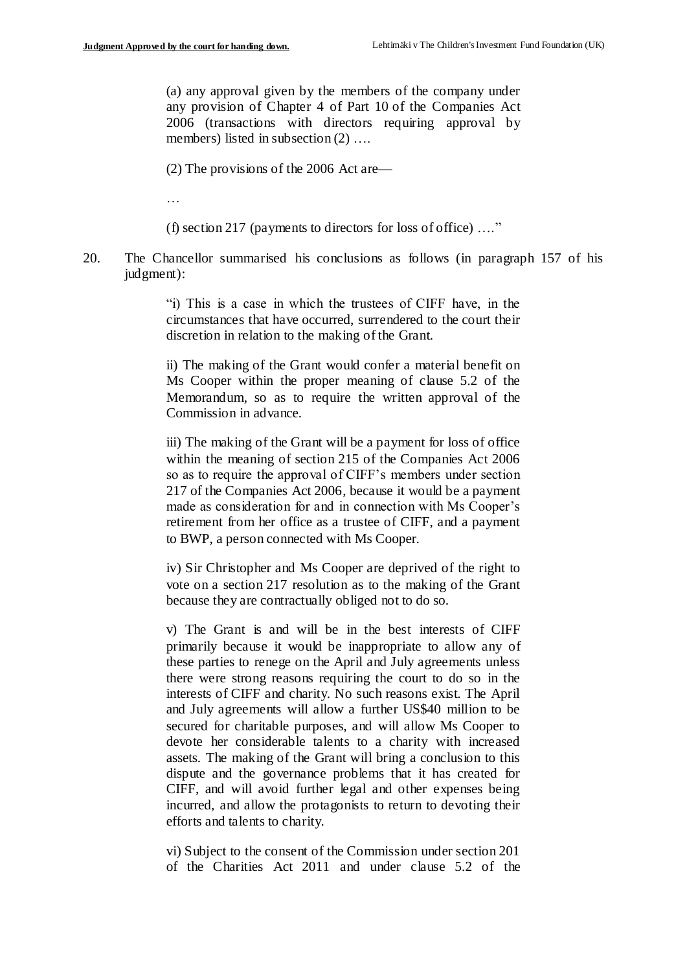(a) any approval given by the members of the company under any provision of Chapter 4 of Part 10 of the Companies Act 2006 (transactions with directors requiring approval by members) listed in subsection (2) ...

(2) The provisions of the 2006 Act are—

…

(f) section 217 (payments to directors for loss of office) …."

20. The Chancellor summarised his conclusions as follows (in paragraph 157 of his judgment):

> "i) This is a case in which the trustees of CIFF have, in the circumstances that have occurred, surrendered to the court their discretion in relation to the making of the Grant.

> ii) The making of the Grant would confer a material benefit on Ms Cooper within the proper meaning of clause 5.2 of the Memorandum, so as to require the written approval of the Commission in advance.

> iii) The making of the Grant will be a payment for loss of office within the meaning of section 215 of the Companies Act 2006 so as to require the approval of CIFF's members under section 217 of the Companies Act 2006, because it would be a payment made as consideration for and in connection with Ms Cooper's retirement from her office as a trustee of CIFF, and a payment to BWP, a person connected with Ms Cooper.

> iv) Sir Christopher and Ms Cooper are deprived of the right to vote on a section 217 resolution as to the making of the Grant because they are contractually obliged not to do so.

> v) The Grant is and will be in the best interests of CIFF primarily because it would be inappropriate to allow any of these parties to renege on the April and July agreements unless there were strong reasons requiring the court to do so in the interests of CIFF and charity. No such reasons exist. The April and July agreements will allow a further US\$40 million to be secured for charitable purposes, and will allow Ms Cooper to devote her considerable talents to a charity with increased assets. The making of the Grant will bring a conclusion to this dispute and the governance problems that it has created for CIFF, and will avoid further legal and other expenses being incurred, and allow the protagonists to return to devoting their efforts and talents to charity.

> vi) Subject to the consent of the Commission under section 201 of the Charities Act 2011 and under clause 5.2 of the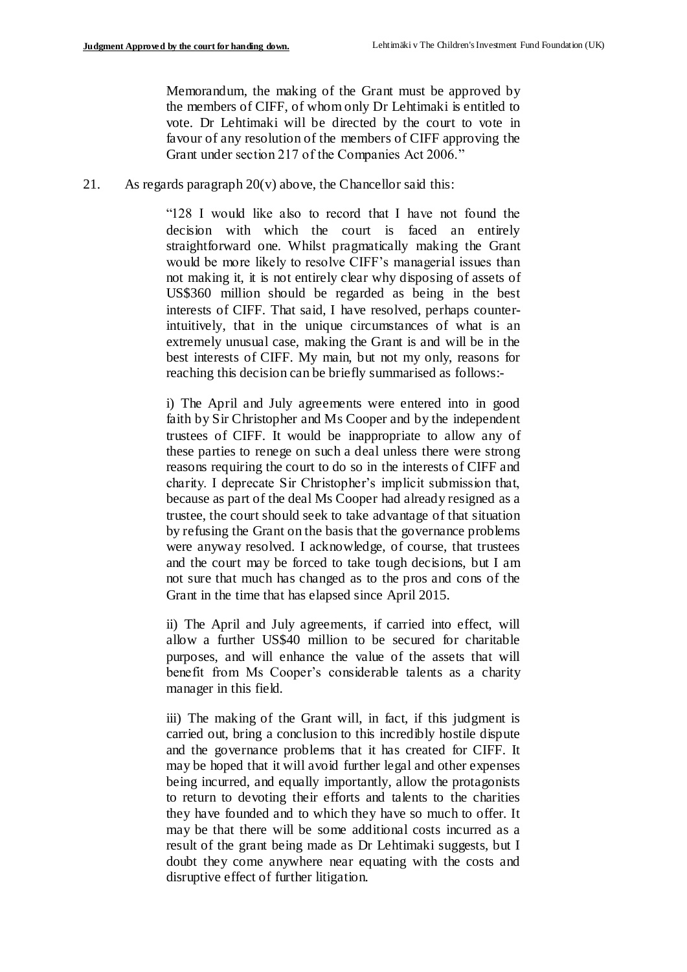Memorandum, the making of the Grant must be approved by the members of CIFF, of whom only Dr Lehtimaki is entitled to vote. Dr Lehtimaki will be directed by the court to vote in favour of any resolution of the members of CIFF approving the Grant under section 217 of the Companies Act 2006."

21. As regards paragraph  $20(v)$  above, the Chancellor said this:

"128 I would like also to record that I have not found the decision with which the court is faced an entirely straightforward one. Whilst pragmatically making the Grant would be more likely to resolve CIFF's managerial issues than not making it, it is not entirely clear why disposing of assets of US\$360 million should be regarded as being in the best interests of CIFF. That said, I have resolved, perhaps counterintuitively, that in the unique circumstances of what is an extremely unusual case, making the Grant is and will be in the best interests of CIFF. My main, but not my only, reasons for reaching this decision can be briefly summarised as follows:-

i) The April and July agreements were entered into in good faith by Sir Christopher and Ms Cooper and by the independent trustees of CIFF. It would be inappropriate to allow any of these parties to renege on such a deal unless there were strong reasons requiring the court to do so in the interests of CIFF and charity. I deprecate Sir Christopher's implicit submission that, because as part of the deal Ms Cooper had already resigned as a trustee, the court should seek to take advantage of that situation by refusing the Grant on the basis that the governance problems were anyway resolved. I acknowledge, of course, that trustees and the court may be forced to take tough decisions, but I am not sure that much has changed as to the pros and cons of the Grant in the time that has elapsed since April 2015.

ii) The April and July agreements, if carried into effect, will allow a further US\$40 million to be secured for charitable purposes, and will enhance the value of the assets that will benefit from Ms Cooper's considerable talents as a charity manager in this field.

iii) The making of the Grant will, in fact, if this judgment is carried out, bring a conclusion to this incredibly hostile dispute and the governance problems that it has created for CIFF. It may be hoped that it will avoid further legal and other expenses being incurred, and equally importantly, allow the protagonists to return to devoting their efforts and talents to the charities they have founded and to which they have so much to offer. It may be that there will be some additional costs incurred as a result of the grant being made as Dr Lehtimaki suggests, but I doubt they come anywhere near equating with the costs and disruptive effect of further litigation.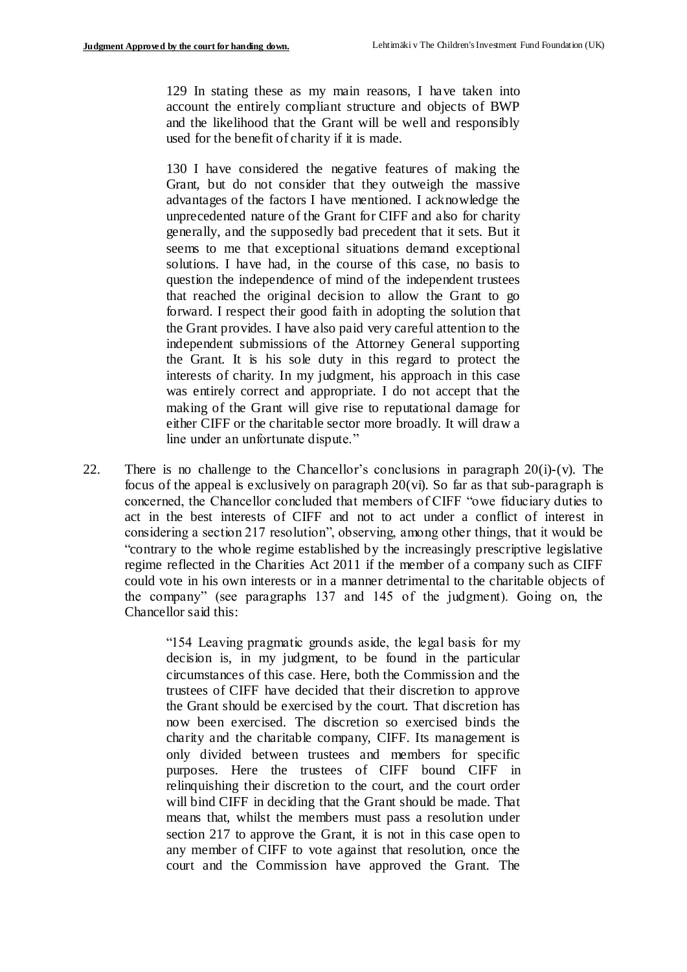129 In stating these as my main reasons, I have taken into account the entirely compliant structure and objects of BWP and the likelihood that the Grant will be well and responsibly used for the benefit of charity if it is made.

130 I have considered the negative features of making the Grant, but do not consider that they outweigh the massive advantages of the factors I have mentioned. I acknowledge the unprecedented nature of the Grant for CIFF and also for charity generally, and the supposedly bad precedent that it sets. But it seems to me that exceptional situations demand exceptional solutions. I have had, in the course of this case, no basis to question the independence of mind of the independent trustees that reached the original decision to allow the Grant to go forward. I respect their good faith in adopting the solution that the Grant provides. I have also paid very careful attention to the independent submissions of the Attorney General supporting the Grant. It is his sole duty in this regard to protect the interests of charity. In my judgment, his approach in this case was entirely correct and appropriate. I do not accept that the making of the Grant will give rise to reputational damage for either CIFF or the charitable sector more broadly. It will draw a line under an unfortunate dispute."

22. There is no challenge to the Chancellor's conclusions in paragraph  $20(i)-(v)$ . The focus of the appeal is exclusively on paragraph  $20(vi)$ . So far as that sub-paragraph is concerned, the Chancellor concluded that members of CIFF "owe fiduciary duties to act in the best interests of CIFF and not to act under a conflict of interest in considering a section 217 resolution", observing, among other things, that it would be "contrary to the whole regime established by the increasingly prescriptive legislative regime reflected in the Charities Act 2011 if the member of a company such as CIFF could vote in his own interests or in a manner detrimental to the charitable objects of the company" (see paragraphs 137 and 145 of the judgment). Going on, the Chancellor said this:

> "154 Leaving pragmatic grounds aside, the legal basis for my decision is, in my judgment, to be found in the particular circumstances of this case. Here, both the Commission and the trustees of CIFF have decided that their discretion to approve the Grant should be exercised by the court. That discretion has now been exercised. The discretion so exercised binds the charity and the charitable company, CIFF. Its management is only divided between trustees and members for specific purposes. Here the trustees of CIFF bound CIFF in relinquishing their discretion to the court, and the court order will bind CIFF in deciding that the Grant should be made. That means that, whilst the members must pass a resolution under section 217 to approve the Grant, it is not in this case open to any member of CIFF to vote against that resolution, once the court and the Commission have approved the Grant. The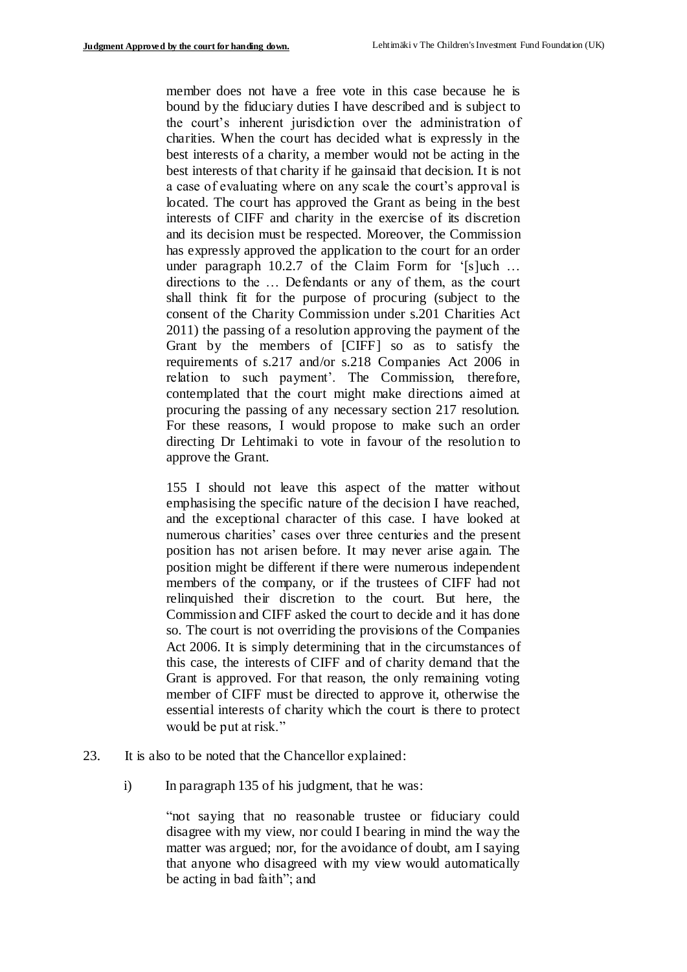member does not have a free vote in this case because he is bound by the fiduciary duties I have described and is subject to the court's inherent jurisdiction over the administration of charities. When the court has decided what is expressly in the best interests of a charity, a member would not be acting in the best interests of that charity if he gainsaid that decision. It is not a case of evaluating where on any scale the court's approval is located. The court has approved the Grant as being in the best interests of CIFF and charity in the exercise of its discretion and its decision must be respected. Moreover, the Commission has expressly approved the application to the court for an order under paragraph 10.2.7 of the Claim Form for '[s]uch ... directions to the … Defendants or any of them, as the court shall think fit for the purpose of procuring (subject to the consent of the Charity Commission under s.201 Charities Act 2011) the passing of a resolution approving the payment of the Grant by the members of [CIFF] so as to satisfy the requirements of s.217 and/or s.218 Companies Act 2006 in relation to such payment'. The Commission, therefore, contemplated that the court might make directions aimed at procuring the passing of any necessary section 217 resolution. For these reasons, I would propose to make such an order directing Dr Lehtimaki to vote in favour of the resolution to approve the Grant.

155 I should not leave this aspect of the matter without emphasising the specific nature of the decision I have reached, and the exceptional character of this case. I have looked at numerous charities' cases over three centuries and the present position has not arisen before. It may never arise again. The position might be different if there were numerous independent members of the company, or if the trustees of CIFF had not relinquished their discretion to the court. But here, the Commission and CIFF asked the court to decide and it has done so. The court is not overriding the provisions of the Companies Act 2006. It is simply determining that in the circumstances of this case, the interests of CIFF and of charity demand that the Grant is approved. For that reason, the only remaining voting member of CIFF must be directed to approve it, otherwise the essential interests of charity which the court is there to protect would be put at risk."

- 23. It is also to be noted that the Chancellor explained:
	- i) In paragraph 135 of his judgment, that he was:

"not saying that no reasonable trustee or fiduciary could disagree with my view, nor could I bearing in mind the way the matter was argued; nor, for the avoidance of doubt, am I saying that anyone who disagreed with my view would automatically be acting in bad faith"; and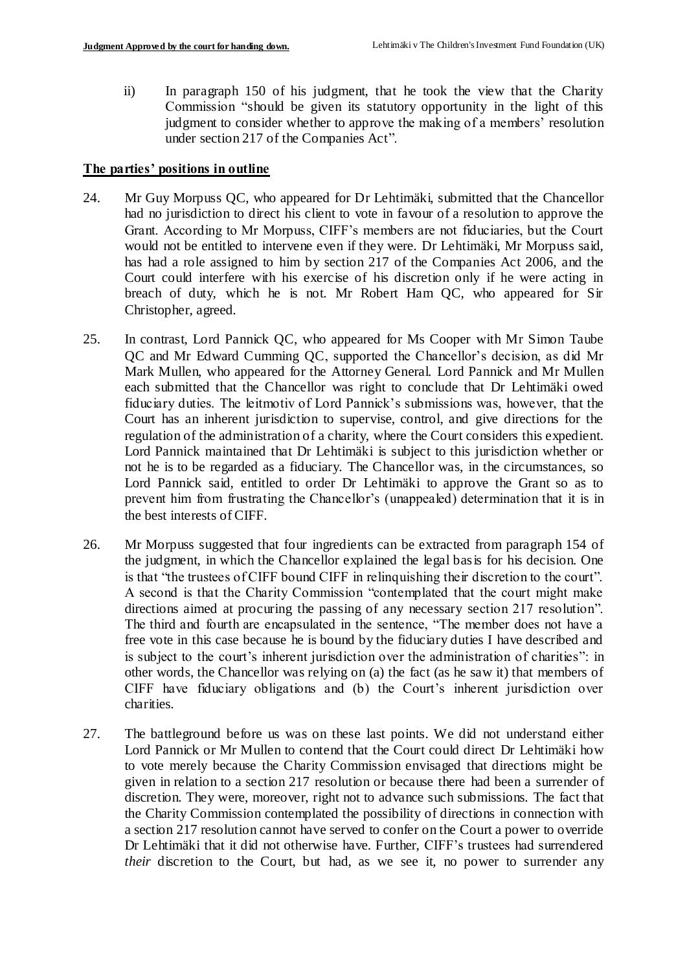ii) In paragraph 150 of his judgment, that he took the view that the Charity Commission "should be given its statutory opportunity in the light of this judgment to consider whether to approve the making of a members' resolution under section 217 of the Companies Act".

#### **The parties' positions in outline**

- 24. Mr Guy Morpuss QC, who appeared for Dr Lehtimäki, submitted that the Chancellor had no jurisdiction to direct his client to vote in favour of a resolution to approve the Grant. According to Mr Morpuss, CIFF's members are not fiduciaries, but the Court would not be entitled to intervene even if they were. Dr Lehtimäki, Mr Morpuss said, has had a role assigned to him by section 217 of the Companies Act 2006, and the Court could interfere with his exercise of his discretion only if he were acting in breach of duty, which he is not. Mr Robert Ham QC, who appeared for Sir Christopher, agreed.
- 25. In contrast, Lord Pannick QC, who appeared for Ms Cooper with Mr Simon Taube QC and Mr Edward Cumming QC, supported the Chancellor's decision, as did Mr Mark Mullen, who appeared for the Attorney General. Lord Pannick and Mr Mullen each submitted that the Chancellor was right to conclude that Dr Lehtimäki owed fiduciary duties. The leitmotiv of Lord Pannick's submissions was, however, that the Court has an inherent jurisdiction to supervise, control, and give directions for the regulation of the administration of a charity, where the Court considers this expedient. Lord Pannick maintained that Dr Lehtimäki is subject to this jurisdiction whether or not he is to be regarded as a fiduciary. The Chancellor was, in the circumstances, so Lord Pannick said, entitled to order Dr Lehtimäki to approve the Grant so as to prevent him from frustrating the Chancellor's (unappealed) determination that it is in the best interests of CIFF.
- 26. Mr Morpuss suggested that four ingredients can be extracted from paragraph 154 of the judgment, in which the Chancellor explained the legal basis for his decision. One is that "the trustees of CIFF bound CIFF in relinquishing their discretion to the court". A second is that the Charity Commission "contemplated that the court might make directions aimed at procuring the passing of any necessary section 217 resolution". The third and fourth are encapsulated in the sentence, "The member does not have a free vote in this case because he is bound by the fiduciary duties I have described and is subject to the court's inherent jurisdiction over the administration of charities": in other words, the Chancellor was relying on (a) the fact (as he saw it) that members of CIFF have fiduciary obligations and (b) the Court's inherent jurisdiction over charities.
- 27. The battleground before us was on these last points. We did not understand either Lord Pannick or Mr Mullen to contend that the Court could direct Dr Lehtimäki how to vote merely because the Charity Commission envisaged that directions might be given in relation to a section 217 resolution or because there had been a surrender of discretion. They were, moreover, right not to advance such submissions. The fact that the Charity Commission contemplated the possibility of directions in connection with a section 217 resolution cannot have served to confer on the Court a power to override Dr Lehtimäki that it did not otherwise have. Further, CIFF's trustees had surrendered *their* discretion to the Court, but had, as we see it, no power to surrender any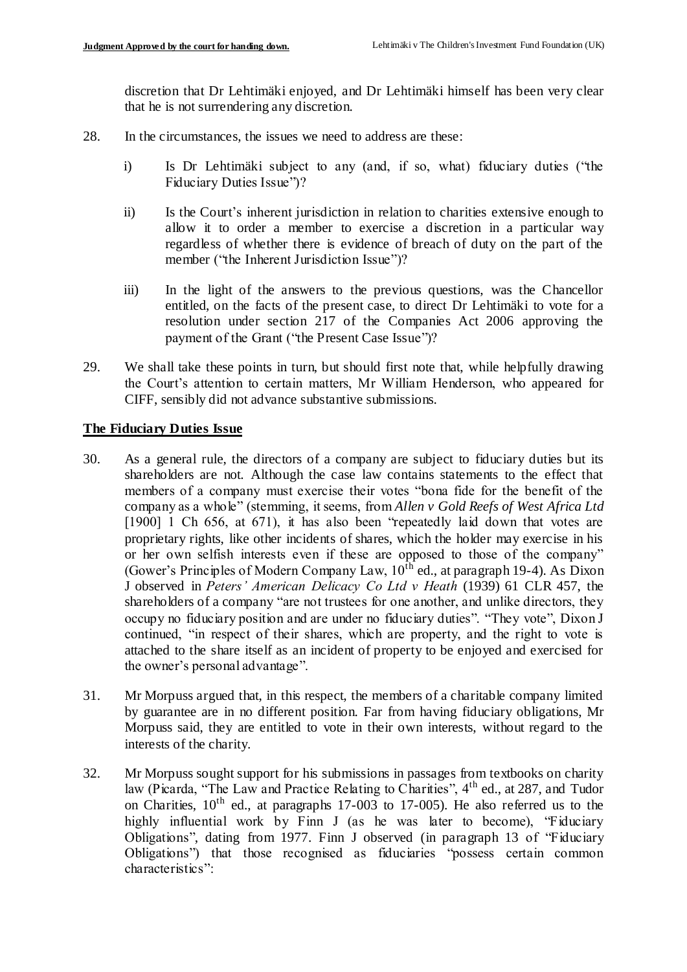discretion that Dr Lehtimäki enjoyed, and Dr Lehtimäki himself has been very clear that he is not surrendering any discretion.

- 28. In the circumstances, the issues we need to address are these:
	- i) Is Dr Lehtimäki subject to any (and, if so, what) fiduciary duties ("the Fiduciary Duties Issue")?
	- ii) Is the Court's inherent jurisdiction in relation to charities extensive enough to allow it to order a member to exercise a discretion in a particular way regardless of whether there is evidence of breach of duty on the part of the member ("the Inherent Jurisdiction Issue")?
	- iii) In the light of the answers to the previous questions, was the Chancellor entitled, on the facts of the present case, to direct Dr Lehtimäki to vote for a resolution under section 217 of the Companies Act 2006 approving the payment of the Grant ("the Present Case Issue")?
- 29. We shall take these points in turn, but should first note that, while helpfully drawing the Court's attention to certain matters, Mr William Henderson, who appeared for CIFF, sensibly did not advance substantive submissions.

### **The Fiduciary Duties Issue**

- 30. As a general rule, the directors of a company are subject to fiduciary duties but its shareholders are not. Although the case law contains statements to the effect that members of a company must exercise their votes "bona fide for the benefit of the company as a whole" (stemming, it seems, from *Allen v Gold Reefs of West Africa Ltd*  [1900] 1 Ch 656, at 671), it has also been "repeatedly laid down that votes are proprietary rights, like other incidents of shares, which the holder may exercise in his or her own selfish interests even if these are opposed to those of the company" (Gower's Principles of Modern Company Law,  $10^{\text{th}}$  ed., at paragraph 19-4). As Dixon J observed in *Peters' American Delicacy Co Ltd v Heath* (1939) 61 CLR 457, the shareholders of a company "are not trustees for one another, and unlike directors, they occupy no fiduciary position and are under no fiduciary duties". "They vote", Dixon J continued, "in respect of their shares, which are property, and the right to vote is attached to the share itself as an incident of property to be enjoyed and exercised for the owner's personal advantage".
- 31. Mr Morpuss argued that, in this respect, the members of a charitable company limited by guarantee are in no different position. Far from having fiduciary obligations, Mr Morpuss said, they are entitled to vote in their own interests, without regard to the interests of the charity.
- 32. Mr Morpuss sought support for his submissions in passages from textbooks on charity law (Picarda, "The Law and Practice Relating to Charities", 4<sup>th</sup> ed., at 287, and Tudor on Charities,  $10^{th}$  ed., at paragraphs 17-003 to 17-005). He also referred us to the highly influential work by Finn J (as he was later to become), "Fiduciary Obligations", dating from 1977. Finn J observed (in paragraph 13 of "Fiduciary Obligations") that those recognised as fiduciaries "possess certain common characteristics":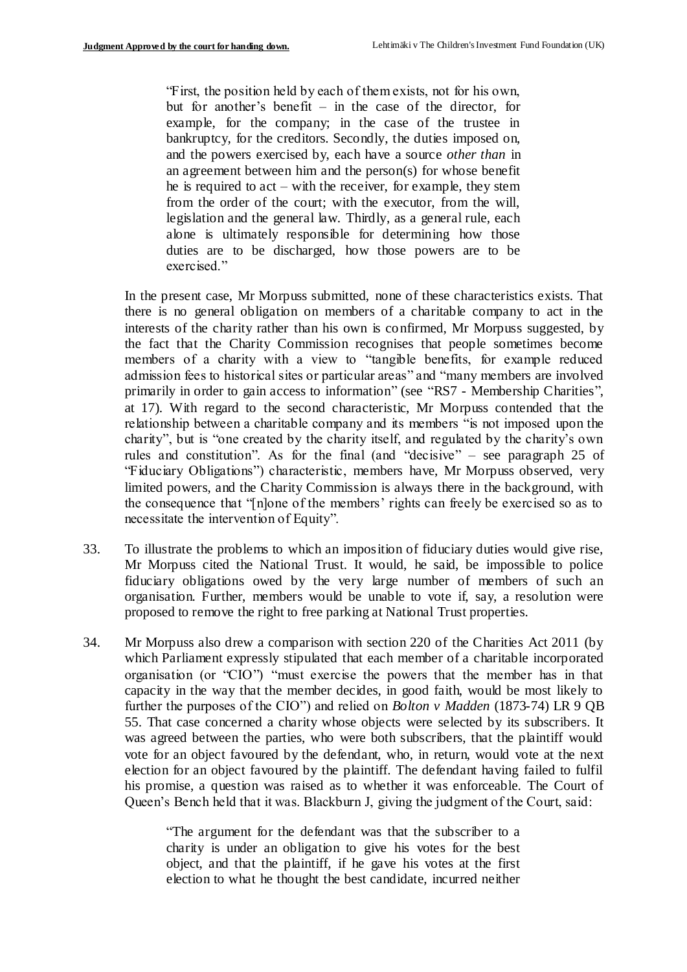"First, the position held by each of them exists, not for his own, but for another's benefit – in the case of the director, for example, for the company; in the case of the trustee in bankruptcy, for the creditors. Secondly, the duties imposed on, and the powers exercised by, each have a source *other than* in an agreement between him and the person(s) for whose benefit he is required to act – with the receiver, for example, they stem from the order of the court; with the executor, from the will, legislation and the general law. Thirdly, as a general rule, each alone is ultimately responsible for determining how those duties are to be discharged, how those powers are to be exercised."

In the present case, Mr Morpuss submitted, none of these characteristics exists. That there is no general obligation on members of a charitable company to act in the interests of the charity rather than his own is confirmed, Mr Morpuss suggested, by the fact that the Charity Commission recognises that people sometimes become members of a charity with a view to "tangible benefits, for example reduced admission fees to historical sites or particular areas" and "many members are involved primarily in order to gain access to information" (see "RS7 - Membership Charities", at 17). With regard to the second characteristic, Mr Morpuss contended that the relationship between a charitable company and its members "is not imposed upon the charity", but is "one created by the charity itself, and regulated by the charity's own rules and constitution". As for the final (and "decisive" – see paragraph 25 of "Fiduciary Obligations") characteristic, members have, Mr Morpuss observed, very limited powers, and the Charity Commission is always there in the background, with the consequence that "[n]one of the members' rights can freely be exercised so as to necessitate the intervention of Equity".

- 33. To illustrate the problems to which an imposition of fiduciary duties would give rise, Mr Morpuss cited the National Trust. It would, he said, be impossible to police fiduciary obligations owed by the very large number of members of such an organisation. Further, members would be unable to vote if, say, a resolution were proposed to remove the right to free parking at National Trust properties.
- 34. Mr Morpuss also drew a comparison with section 220 of the Charities Act 2011 (by which Parliament expressly stipulated that each member of a charitable incorporated organisation (or "CIO") "must exercise the powers that the member has in that capacity in the way that the member decides, in good faith, would be most likely to further the purposes of the CIO") and relied on *Bolton v Madden* (1873-74) LR 9 QB 55. That case concerned a charity whose objects were selected by its subscribers. It was agreed between the parties, who were both subscribers, that the plaintiff would vote for an object favoured by the defendant, who, in return, would vote at the next election for an object favoured by the plaintiff. The defendant having failed to fulfil his promise, a question was raised as to whether it was enforceable. The Court of Queen's Bench held that it was. Blackburn J, giving the judgment of the Court, said:

"The argument for the defendant was that the subscriber to a charity is under an obligation to give his votes for the best object, and that the plaintiff, if he gave his votes at the first election to what he thought the best candidate, incurred neither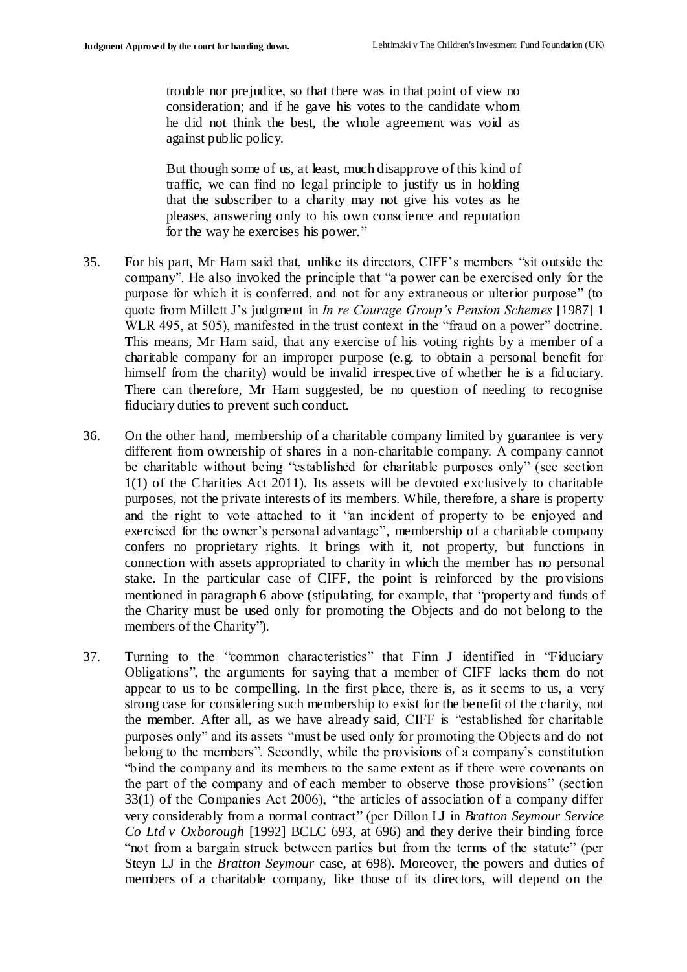trouble nor prejudice, so that there was in that point of view no consideration; and if he gave his votes to the candidate whom he did not think the best, the whole agreement was void as against public policy.

But though some of us, at least, much disapprove of this kind of traffic, we can find no legal principle to justify us in holding that the subscriber to a charity may not give his votes as he pleases, answering only to his own conscience and reputation for the way he exercises his power."

- 35. For his part, Mr Ham said that, unlike its directors, CIFF's members "sit outside the company". He also invoked the principle that "a power can be exercised only for the purpose for which it is conferred, and not for any extraneous or ulterior purpose" (to quote from Millett J's judgment in *In re Courage Group's Pension Schemes* [1987] 1 WLR 495, at 505), manifested in the trust context in the "fraud on a power" doctrine. This means, Mr Ham said, that any exercise of his voting rights by a member of a charitable company for an improper purpose (e.g. to obtain a personal benefit for himself from the charity) would be invalid irrespective of whether he is a fid uciary. There can therefore, Mr Ham suggested, be no question of needing to recognise fiduciary duties to prevent such conduct.
- 36. On the other hand, membership of a charitable company limited by guarantee is very different from ownership of shares in a non-charitable company. A company cannot be charitable without being "established for charitable purposes only" (see section 1(1) of the Charities Act 2011). Its assets will be devoted exclusively to charitable purposes, not the private interests of its members. While, therefore, a share is property and the right to vote attached to it "an incident of property to be enjoyed and exercised for the owner's personal advantage", membership of a charitable company confers no proprietary rights. It brings with it, not property, but functions in connection with assets appropriated to charity in which the member has no personal stake. In the particular case of CIFF, the point is reinforced by the provisions mentioned in paragraph 6 above (stipulating, for example, that "property and funds of the Charity must be used only for promoting the Objects and do not belong to the members of the Charity").
- 37. Turning to the "common characteristics" that Finn J identified in "Fiduciary Obligations", the arguments for saying that a member of CIFF lacks them do not appear to us to be compelling. In the first place, there is, as it seems to us, a very strong case for considering such membership to exist for the benefit of the charity, not the member. After all, as we have already said, CIFF is "established for charitable purposes only" and its assets "must be used only for promoting the Objects and do not belong to the members". Secondly, while the provisions of a company's constitution "bind the company and its members to the same extent as if there were covenants on the part of the company and of each member to observe those provisions" (section 33(1) of the Companies Act 2006), "the articles of association of a company differ very considerably from a normal contract" (per Dillon LJ in *Bratton Seymour Service Co Ltd v Oxborough* [1992] BCLC 693, at 696) and they derive their binding force "not from a bargain struck between parties but from the terms of the statute" (per Steyn LJ in the *Bratton Seymour* case, at 698). Moreover, the powers and duties of members of a charitable company, like those of its directors, will depend on the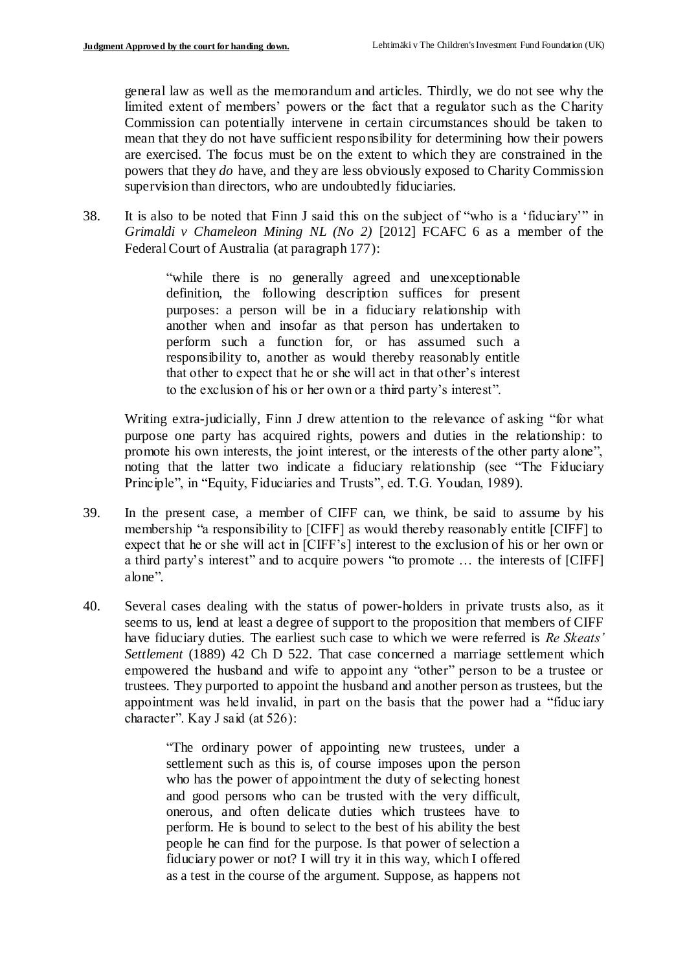general law as well as the memorandum and articles. Thirdly, we do not see why the limited extent of members' powers or the fact that a regulator such as the Charity Commission can potentially intervene in certain circumstances should be taken to mean that they do not have sufficient responsibility for determining how their powers are exercised. The focus must be on the extent to which they are constrained in the powers that they *do* have, and they are less obviously exposed to Charity Commission supervision than directors, who are undoubtedly fiduciaries.

38. It is also to be noted that Finn J said this on the subject of "who is a 'fiduciary'" in *Grimaldi v Chameleon Mining NL (No 2)* [2012] FCAFC 6 as a member of the Federal Court of Australia (at paragraph 177):

> "while there is no generally agreed and unexceptionable definition, the following description suffices for present purposes: a person will be in a fiduciary relationship with another when and insofar as that person has undertaken to perform such a function for, or has assumed such a responsibility to, another as would thereby reasonably entitle that other to expect that he or she will act in that other's interest to the exclusion of his or her own or a third party's interest".

Writing extra-judicially, Finn J drew attention to the relevance of asking "for what purpose one party has acquired rights, powers and duties in the relationship: to promote his own interests, the joint interest, or the interests of the other party alone", noting that the latter two indicate a fiduciary relationship (see "The Fiduciary Principle", in "Equity, Fiduciaries and Trusts", ed. T.G. Youdan, 1989).

- 39. In the present case, a member of CIFF can, we think, be said to assume by his membership "a responsibility to [CIFF] as would thereby reasonably entitle [CIFF] to expect that he or she will act in [CIFF's] interest to the exclusion of his or her own or a third party's interest" and to acquire powers "to promote … the interests of [CIFF] alone".
- 40. Several cases dealing with the status of power-holders in private trusts also, as it seems to us, lend at least a degree of support to the proposition that members of CIFF have fiduciary duties. The earliest such case to which we were referred is *Re Skeats' Settlement* (1889) 42 Ch D 522. That case concerned a marriage settlement which empowered the husband and wife to appoint any "other" person to be a trustee or trustees. They purported to appoint the husband and another person as trustees, but the appointment was held invalid, in part on the basis that the power had a "fiduc iary character". Kay J said (at 526):

"The ordinary power of appointing new trustees, under a settlement such as this is, of course imposes upon the person who has the power of appointment the duty of selecting honest and good persons who can be trusted with the very difficult, onerous, and often delicate duties which trustees have to perform. He is bound to select to the best of his ability the best people he can find for the purpose. Is that power of selection a fiduciary power or not? I will try it in this way, which I offered as a test in the course of the argument. Suppose, as happens not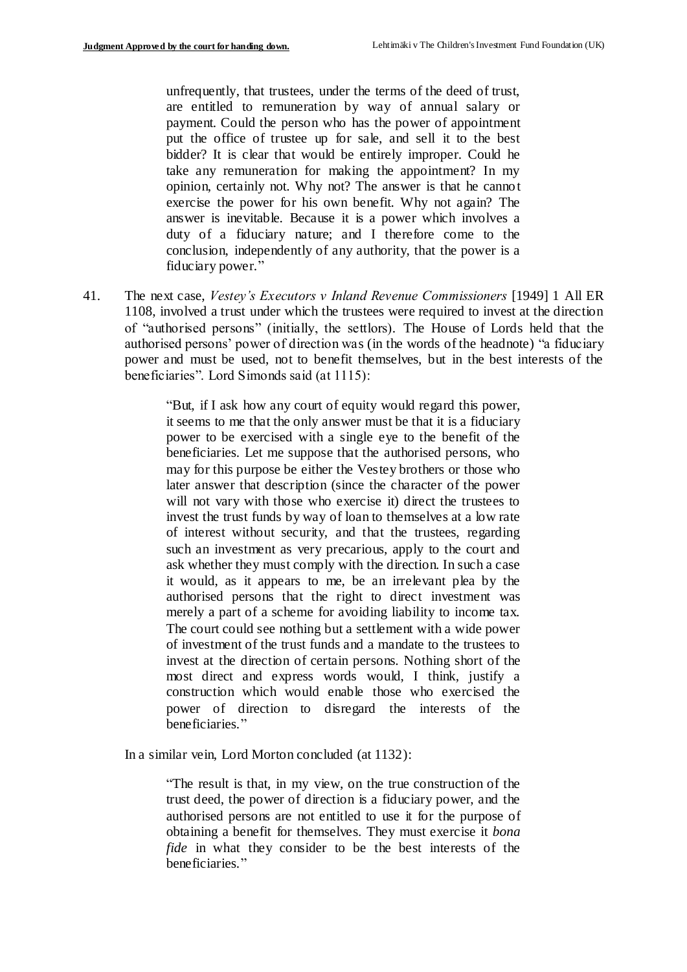unfrequently, that trustees, under the terms of the deed of trust, are entitled to remuneration by way of annual salary or payment. Could the person who has the power of appointment put the office of trustee up for sale, and sell it to the best bidder? It is clear that would be entirely improper. Could he take any remuneration for making the appointment? In my opinion, certainly not. Why not? The answer is that he cannot exercise the power for his own benefit. Why not again? The answer is inevitable. Because it is a power which involves a duty of a fiduciary nature; and I therefore come to the conclusion, independently of any authority, that the power is a fiduciary power."

41. The next case, *Vestey's Executors v Inland Revenue Commissioners* [1949] 1 All ER 1108, involved a trust under which the trustees were required to invest at the direction of "authorised persons" (initially, the settlors). The House of Lords held that the authorised persons' power of direction was (in the words of the headnote) "a fiduciary power and must be used, not to benefit themselves, but in the best interests of the beneficiaries". Lord Simonds said (at 1115):

> "But, if I ask how any court of equity would regard this power, it seems to me that the only answer must be that it is a fiduciary power to be exercised with a single eye to the benefit of the beneficiaries. Let me suppose that the authorised persons, who may for this purpose be either the Vestey brothers or those who later answer that description (since the character of the power will not vary with those who exercise it) direct the trustees to invest the trust funds by way of loan to themselves at a low rate of interest without security, and that the trustees, regarding such an investment as very precarious, apply to the court and ask whether they must comply with the direction. In such a case it would, as it appears to me, be an irrelevant plea by the authorised persons that the right to direct investment was merely a part of a scheme for avoiding liability to income tax. The court could see nothing but a settlement with a wide power of investment of the trust funds and a mandate to the trustees to invest at the direction of certain persons. Nothing short of the most direct and express words would, I think, justify a construction which would enable those who exercised the power of direction to disregard the interests of the beneficiaries."

In a similar vein, Lord Morton concluded (at 1132):

"The result is that, in my view, on the true construction of the trust deed, the power of direction is a fiduciary power, and the authorised persons are not entitled to use it for the purpose of obtaining a benefit for themselves. They must exercise it *bona fide* in what they consider to be the best interests of the beneficiaries."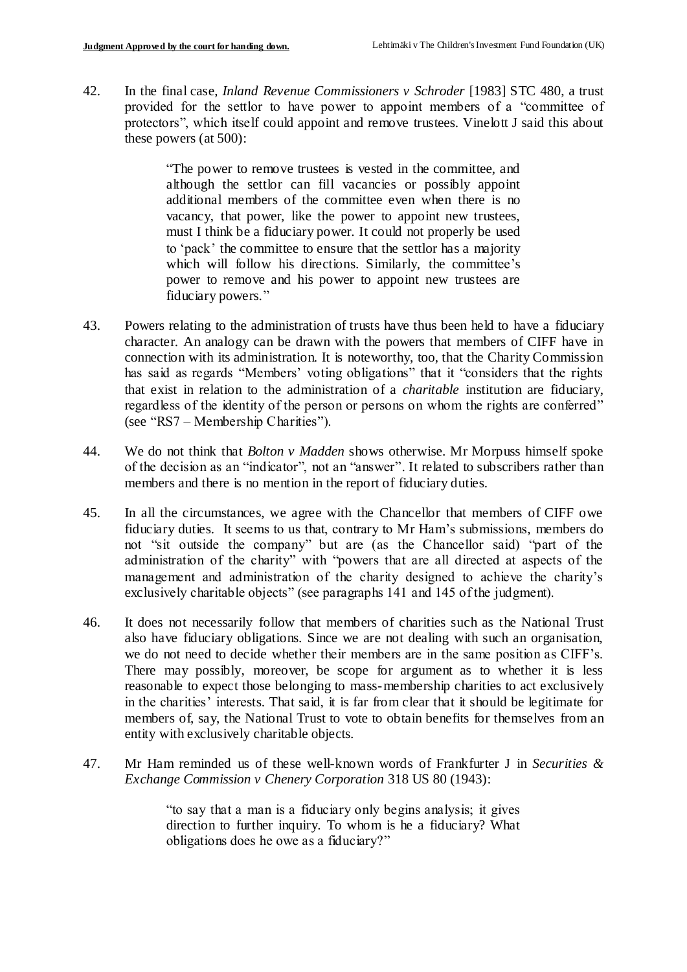42. In the final case, *Inland Revenue Commissioners v Schroder* [1983] STC 480, a trust provided for the settlor to have power to appoint members of a "committee of protectors", which itself could appoint and remove trustees. Vinelott J said this about these powers (at 500):

> "The power to remove trustees is vested in the committee, and although the settlor can fill vacancies or possibly appoint additional members of the committee even when there is no vacancy, that power, like the power to appoint new trustees, must I think be a fiduciary power. It could not properly be used to 'pack' the committee to ensure that the settlor has a majority which will follow his directions. Similarly, the committee's power to remove and his power to appoint new trustees are fiduciary powers."

- 43. Powers relating to the administration of trusts have thus been held to have a fiduciary character. An analogy can be drawn with the powers that members of CIFF have in connection with its administration. It is noteworthy, too, that the Charity Commission has said as regards "Members' voting obligations" that it "considers that the rights that exist in relation to the administration of a *charitable* institution are fiduciary, regardless of the identity of the person or persons on whom the rights are conferred" (see "RS7 – Membership Charities").
- 44. We do not think that *Bolton v Madden* shows otherwise. Mr Morpuss himself spoke of the decision as an "indicator", not an "answer". It related to subscribers rather than members and there is no mention in the report of fiduciary duties.
- 45. In all the circumstances, we agree with the Chancellor that members of CIFF owe fiduciary duties. It seems to us that, contrary to Mr Ham's submissions, members do not "sit outside the company" but are (as the Chancellor said) "part of the administration of the charity" with "powers that are all directed at aspects of the management and administration of the charity designed to achieve the charity's exclusively charitable objects" (see paragraphs 141 and 145 of the judgment).
- 46. It does not necessarily follow that members of charities such as the National Trust also have fiduciary obligations. Since we are not dealing with such an organisation, we do not need to decide whether their members are in the same position as CIFF's. There may possibly, moreover, be scope for argument as to whether it is less reasonable to expect those belonging to mass-membership charities to act exclusively in the charities' interests. That said, it is far from clear that it should be legitimate for members of, say, the National Trust to vote to obtain benefits for themselves from an entity with exclusively charitable objects.
- 47. Mr Ham reminded us of these well-known words of Frankfurter J in *Securities & Exchange Commission v Chenery Corporation* 318 US 80 (1943):

"to say that a man is a fiduciary only begins analysis; it gives direction to further inquiry. To whom is he a fiduciary? What obligations does he owe as a fiduciary?"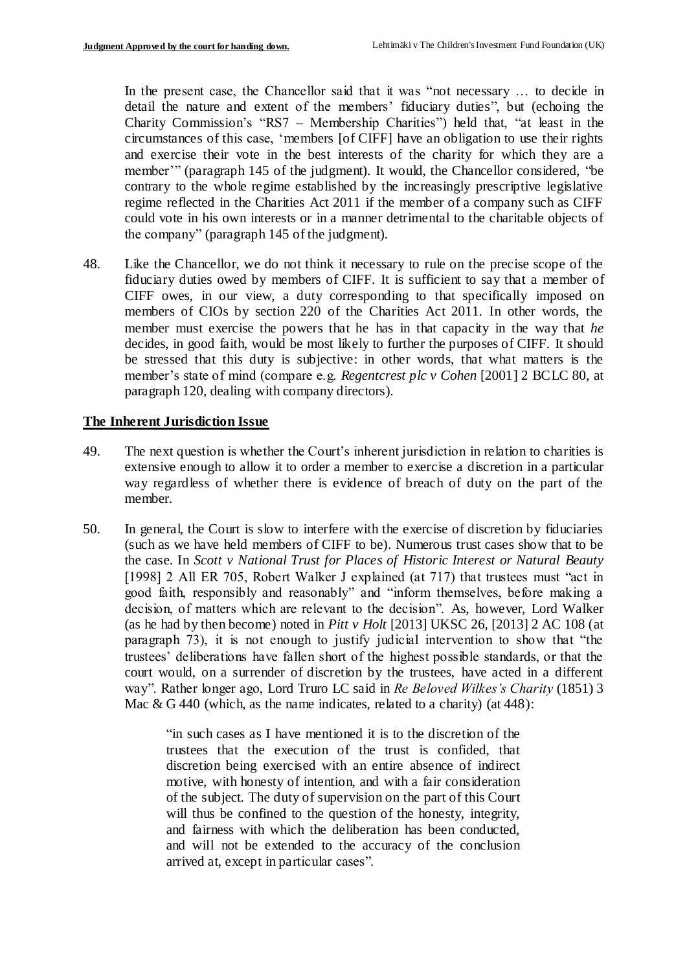In the present case, the Chancellor said that it was "not necessary ... to decide in detail the nature and extent of the members' fiduciary duties", but (echoing the Charity Commission's "RS7 – Membership Charities") held that, "at least in the circumstances of this case, 'members [of CIFF] have an obligation to use their rights and exercise their vote in the best interests of the charity for which they are a member'" (paragraph 145 of the judgment). It would, the Chancellor considered, "be contrary to the whole regime established by the increasingly prescriptive legislative regime reflected in the Charities Act 2011 if the member of a company such as CIFF could vote in his own interests or in a manner detrimental to the charitable objects of the company" (paragraph 145 of the judgment).

48. Like the Chancellor, we do not think it necessary to rule on the precise scope of the fiduciary duties owed by members of CIFF. It is sufficient to say that a member of CIFF owes, in our view, a duty corresponding to that specifically imposed on members of CIOs by section 220 of the Charities Act 2011. In other words, the member must exercise the powers that he has in that capacity in the way that *he* decides, in good faith, would be most likely to further the purposes of CIFF. It should be stressed that this duty is subjective: in other words, that what matters is the member's state of mind (compare e.g. *Regentcrest plc v Cohen* [2001] 2 BCLC 80, at paragraph 120, dealing with company directors).

### **The Inherent Jurisdiction Issue**

- 49. The next question is whether the Court's inherent jurisdiction in relation to charities is extensive enough to allow it to order a member to exercise a discretion in a particular way regardless of whether there is evidence of breach of duty on the part of the member.
- 50. In general, the Court is slow to interfere with the exercise of discretion by fiduciaries (such as we have held members of CIFF to be). Numerous trust cases show that to be the case. In *Scott v National Trust for Places of Historic Interest or Natural Beauty*  [1998] 2 All ER 705, Robert Walker J explained (at 717) that trustees must "act in good faith, responsibly and reasonably" and "inform themselves, before making a decision, of matters which are relevant to the decision". As, however, Lord Walker (as he had by then become) noted in *Pitt v Holt* [2013] UKSC 26, [2013] 2 AC 108 (at paragraph 73), it is not enough to justify judicial intervention to show that "the trustees' deliberations have fallen short of the highest possible standards, or that the court would, on a surrender of discretion by the trustees, have acted in a different way". Rather longer ago, Lord Truro LC said in *Re Beloved Wilkes's Charity* (1851) 3 Mac  $\&$  G 440 (which, as the name indicates, related to a charity) (at 448):

"in such cases as I have mentioned it is to the discretion of the trustees that the execution of the trust is confided, that discretion being exercised with an entire absence of indirect motive, with honesty of intention, and with a fair consideration of the subject. The duty of supervision on the part of this Court will thus be confined to the question of the honesty, integrity, and fairness with which the deliberation has been conducted, and will not be extended to the accuracy of the conclusion arrived at, except in particular cases".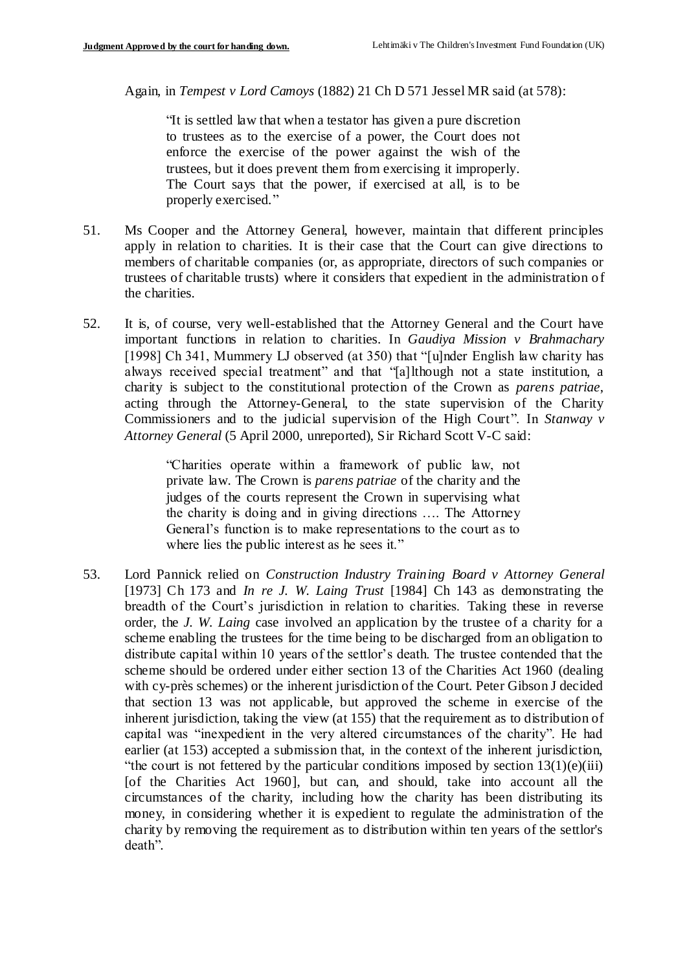Again, in *Tempest v Lord Camoys* (1882) 21 Ch D 571 Jessel MR said (at 578):

"It is settled law that when a testator has given a pure discretion to trustees as to the exercise of a power, the Court does not enforce the exercise of the power against the wish of the trustees, but it does prevent them from exercising it improperly. The Court says that the power, if exercised at all, is to be properly exercised."

- 51. Ms Cooper and the Attorney General, however, maintain that different principles apply in relation to charities. It is their case that the Court can give directions to members of charitable companies (or, as appropriate, directors of such companies or trustees of charitable trusts) where it considers that expedient in the administration of the charities.
- 52. It is, of course, very well-established that the Attorney General and the Court have important functions in relation to charities. In *Gaudiya Mission v Brahmachary*  [1998] Ch 341, Mummery LJ observed (at 350) that "[u]nder English law charity has always received special treatment" and that "[a]lthough not a state institution, a charity is subject to the constitutional protection of the Crown as *parens patriae*, acting through the Attorney-General, to the state supervision of the Charity Commissioners and to the judicial supervision of the High Court". In *Stanway v Attorney General* (5 April 2000, unreported), Sir Richard Scott V-C said:

"Charities operate within a framework of public law, not private law. The Crown is *parens patriae* of the charity and the judges of the courts represent the Crown in supervising what the charity is doing and in giving directions …. The Attorney General's function is to make representations to the court as to where lies the public interest as he sees it."

53. Lord Pannick relied on *Construction Industry Training Board v Attorney General*  [1973] Ch 173 and *In re J. W. Laing Trust* [1984] Ch 143 as demonstrating the breadth of the Court's jurisdiction in relation to charities. Taking these in reverse order, the *J. W. Laing* case involved an application by the trustee of a charity for a scheme enabling the trustees for the time being to be discharged from an obligation to distribute capital within 10 years of the settlor's death. The trustee contended that the scheme should be ordered under either section 13 of the Charities Act 1960 (dealing with cy-près schemes) or the inherent jurisdiction of the Court. Peter Gibson J decided that section 13 was not applicable, but approved the scheme in exercise of the inherent jurisdiction, taking the view (at 155) that the requirement as to distribution of capital was "inexpedient in the very altered circumstances of the charity". He had earlier (at 153) accepted a submission that, in the context of the inherent jurisdiction, "the court is not fettered by the particular conditions imposed by section  $13(1)(e)(iii)$ [of the Charities Act 1960], but can, and should, take into account all the circumstances of the charity, including how the charity has been distributing its money, in considering whether it is expedient to regulate the administration of the charity by removing the requirement as to distribution within ten years of the settlor's death".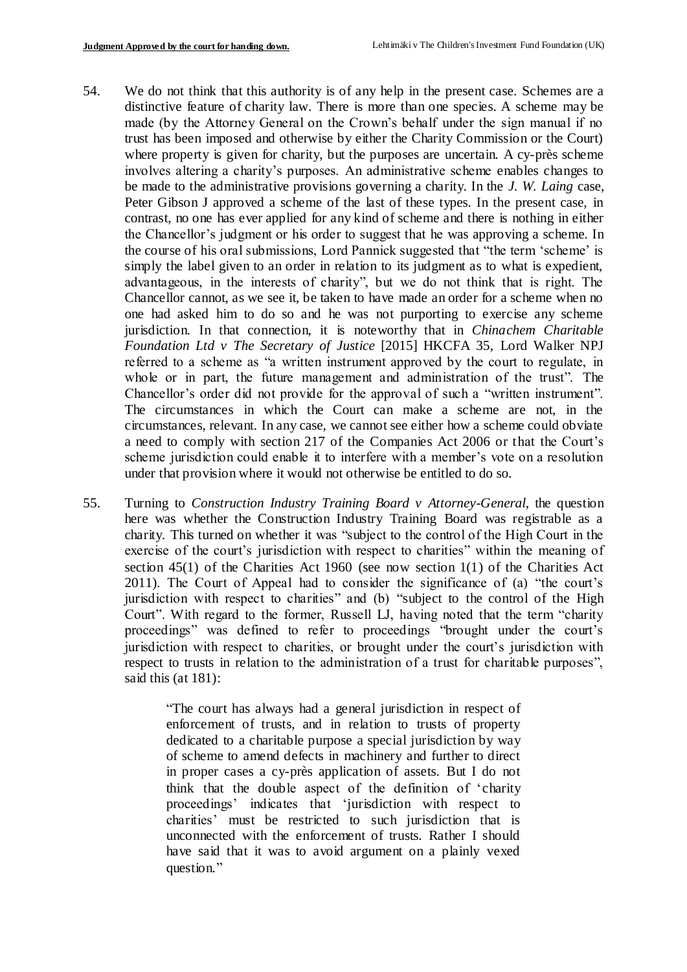- 54. We do not think that this authority is of any help in the present case. Schemes are a distinctive feature of charity law. There is more than one species. A scheme may be made (by the Attorney General on the Crown's behalf under the sign manual if no trust has been imposed and otherwise by either the Charity Commission or the Court) where property is given for charity, but the purposes are uncertain. A cy-près scheme involves altering a charity's purposes. An administrative scheme enables changes to be made to the administrative provisions governing a charity. In the *J. W. Laing* case, Peter Gibson J approved a scheme of the last of these types. In the present case, in contrast, no one has ever applied for any kind of scheme and there is nothing in either the Chancellor's judgment or his order to suggest that he was approving a scheme. In the course of his oral submissions, Lord Pannick suggested that "the term 'scheme' is simply the label given to an order in relation to its judgment as to what is expedient, advantageous, in the interests of charity", but we do not think that is right. The Chancellor cannot, as we see it, be taken to have made an order for a scheme when no one had asked him to do so and he was not purporting to exercise any scheme jurisdiction. In that connection, it is noteworthy that in *Chinachem Charitable Foundation Ltd v The Secretary of Justice* [2015] HKCFA 35, Lord Walker NPJ referred to a scheme as "a written instrument approved by the court to regulate, in whole or in part, the future management and administration of the trust". The Chancellor's order did not provide for the approval of such a "written instrument". The circumstances in which the Court can make a scheme are not, in the circumstances, relevant. In any case, we cannot see either how a scheme could obviate a need to comply with section 217 of the Companies Act 2006 or that the Court's scheme jurisdiction could enable it to interfere with a member's vote on a resolution under that provision where it would not otherwise be entitled to do so.
- 55. Turning to *Construction Industry Training Board v Attorney-General*, the question here was whether the Construction Industry Training Board was registrable as a charity. This turned on whether it was "subject to the control of the High Court in the exercise of the court's jurisdiction with respect to charities" within the meaning of section 45(1) of the Charities Act 1960 (see now section 1(1) of the Charities Act 2011). The Court of Appeal had to consider the significance of (a) "the court's jurisdiction with respect to charities" and (b) "subject to the control of the High Court". With regard to the former, Russell LJ, having noted that the term "charity proceedings" was defined to refer to proceedings "brought under the court's jurisdiction with respect to charities, or brought under the court's jurisdiction with respect to trusts in relation to the administration of a trust for charitable purposes", said this (at 181):

"The court has always had a general jurisdiction in respect of enforcement of trusts, and in relation to trusts of property dedicated to a charitable purpose a special jurisdiction by way of scheme to amend defects in machinery and further to direct in proper cases a cy-près application of assets. But I do not think that the double aspect of the definition of 'charity proceedings' indicates that 'jurisdiction with respect to charities' must be restricted to such jurisdiction that is unconnected with the enforcement of trusts. Rather I should have said that it was to avoid argument on a plainly vexed question."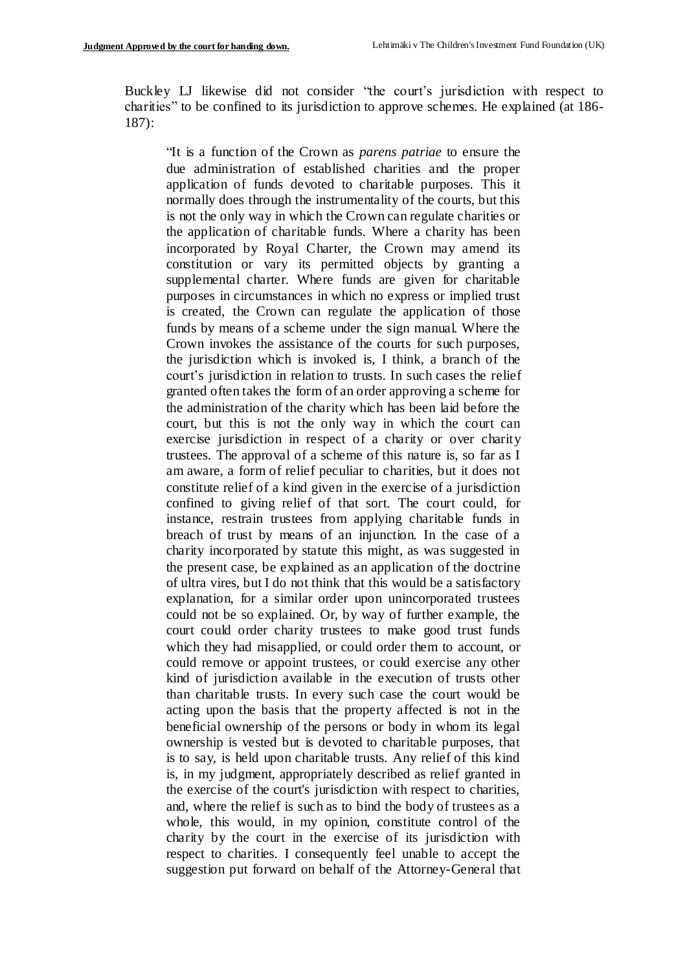Buckley LJ likewise did not consider "the court's jurisdiction with respect to charities" to be confined to its jurisdiction to approve schemes. He explained (at 186- 187):

"It is a function of the Crown as *parens patriae* to ensure the due administration of established charities and the proper application of funds devoted to charitable purposes. This it normally does through the instrumentality of the courts, but this is not the only way in which the Crown can regulate charities or the application of charitable funds. Where a charity has been incorporated by Royal Charter, the Crown may amend its constitution or vary its permitted objects by granting a supplemental charter. Where funds are given for charitable purposes in circumstances in which no express or implied trust is created, the Crown can regulate the application of those funds by means of a scheme under the sign manual. Where the Crown invokes the assistance of the courts for such purposes, the jurisdiction which is invoked is, I think, a branch of the court's jurisdiction in relation to trusts. In such cases the relief granted often takes the form of an order approving a scheme for the administration of the charity which has been laid before the court, but this is not the only way in which the court can exercise jurisdiction in respect of a charity or over charity trustees. The approval of a scheme of this nature is, so far as I am aware, a form of relief peculiar to charities, but it does not constitute relief of a kind given in the exercise of a jurisdiction confined to giving relief of that sort. The court could, for instance, restrain trustees from applying charitable funds in breach of trust by means of an injunction. In the case of a charity incorporated by statute this might, as was suggested in the present case, be explained as an application of the doctrine of ultra vires, but I do not think that this would be a satisfactory explanation, for a similar order upon unincorporated trustees could not be so explained. Or, by way of further example, the court could order charity trustees to make good trust funds which they had misapplied, or could order them to account, or could remove or appoint trustees, or could exercise any other kind of jurisdiction available in the execution of trusts other than charitable trusts. In every such case the court would be acting upon the basis that the property affected is not in the beneficial ownership of the persons or body in whom its legal ownership is vested but is devoted to charitable purposes, that is to say, is held upon charitable trusts. Any relief of this kind is, in my judgment, appropriately described as relief granted in the exercise of the court's jurisdiction with respect to charities, and, where the relief is such as to bind the body of trustees as a whole, this would, in my opinion, constitute control of the charity by the court in the exercise of its jurisdiction with respect to charities. I consequently feel unable to accept the suggestion put forward on behalf of the Attorney-General that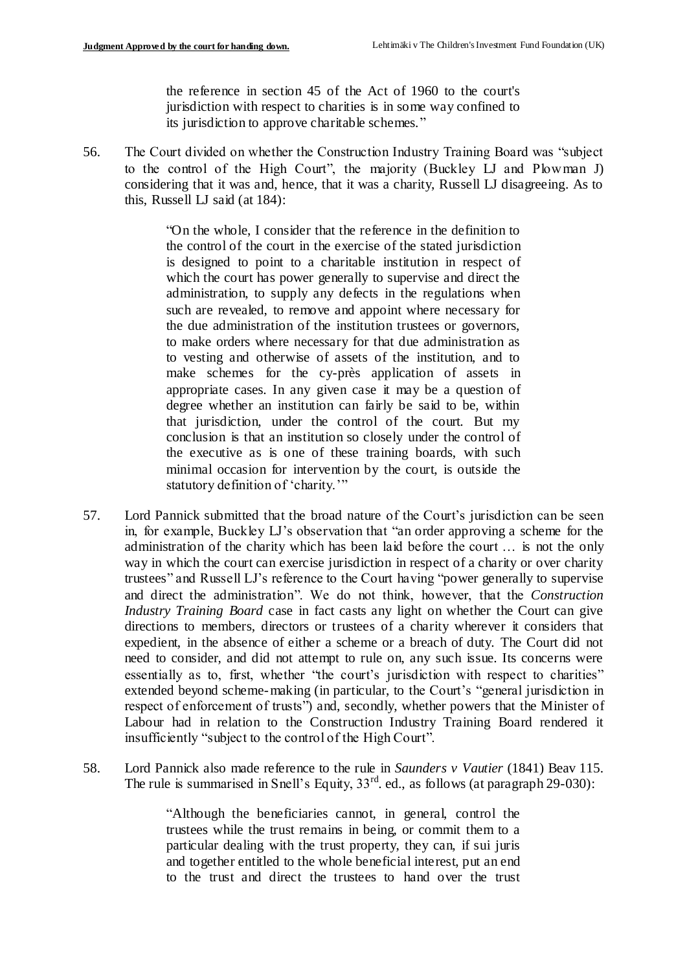the reference in section 45 of the Act of 1960 to the court's jurisdiction with respect to charities is in some way confined to its jurisdiction to approve charitable schemes."

56. The Court divided on whether the Construction Industry Training Board was "subject to the control of the High Court", the majority (Buckley LJ and Plowman J) considering that it was and, hence, that it was a charity, Russell LJ disagreeing. As to this, Russell LJ said (at 184):

> "On the whole, I consider that the reference in the definition to the control of the court in the exercise of the stated jurisdiction is designed to point to a charitable institution in respect of which the court has power generally to supervise and direct the administration, to supply any defects in the regulations when such are revealed, to remove and appoint where necessary for the due administration of the institution trustees or governors, to make orders where necessary for that due administration as to vesting and otherwise of assets of the institution, and to make schemes for the cy-près application of assets in appropriate cases. In any given case it may be a question of degree whether an institution can fairly be said to be, within that jurisdiction, under the control of the court. But my conclusion is that an institution so closely under the control of the executive as is one of these training boards, with such minimal occasion for intervention by the court, is outside the statutory definition of 'charity.'"

- 57. Lord Pannick submitted that the broad nature of the Court's jurisdiction can be seen in, for example, Buckley LJ's observation that "an order approving a scheme for the administration of the charity which has been laid before the court … is not the only way in which the court can exercise jurisdiction in respect of a charity or over charity trustees" and Russell LJ's reference to the Court having "power generally to supervise and direct the administration". We do not think, however, that the *Construction Industry Training Board* case in fact casts any light on whether the Court can give directions to members, directors or trustees of a charity wherever it considers that expedient, in the absence of either a scheme or a breach of duty. The Court did not need to consider, and did not attempt to rule on, any such issue. Its concerns were essentially as to, first, whether "the court's jurisdiction with respect to charities" extended beyond scheme-making (in particular, to the Court's "general jurisdiction in respect of enforcement of trusts") and, secondly, whether powers that the Minister of Labour had in relation to the Construction Industry Training Board rendered it insufficiently "subject to the control of the High Court".
- 58. Lord Pannick also made reference to the rule in *Saunders v Vautier* (1841) Beav 115. The rule is summarised in Snell's Equity,  $33<sup>rd</sup>$ . ed., as follows (at paragraph 29-030):

"Although the beneficiaries cannot, in general, control the trustees while the trust remains in being, or commit them to a particular dealing with the trust property, they can, if sui juris and together entitled to the whole beneficial interest, put an end to the trust and direct the trustees to hand over the trust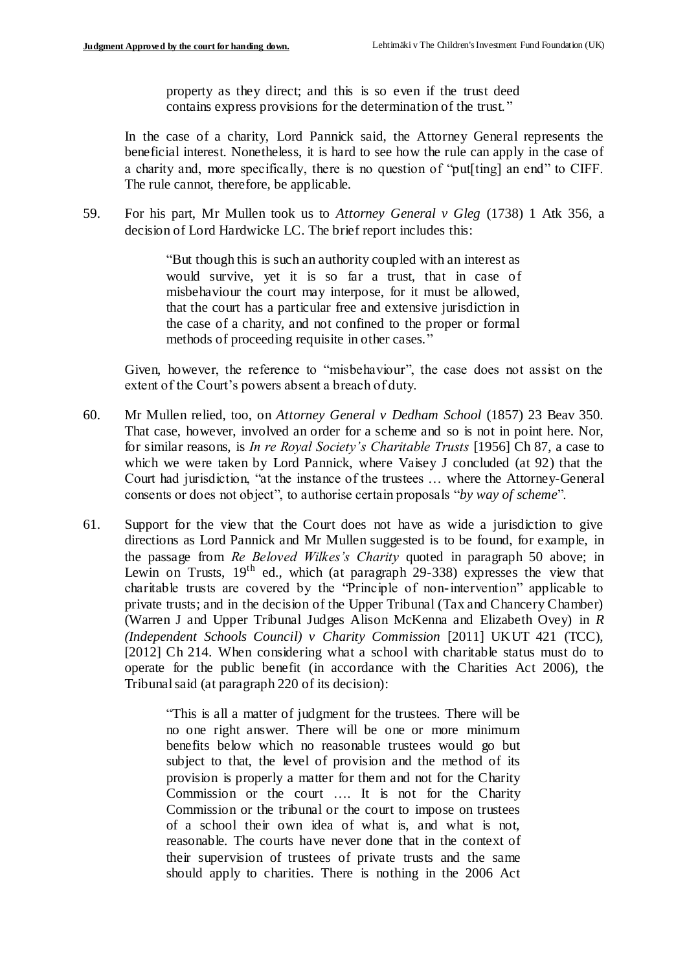property as they direct; and this is so even if the trust deed contains express provisions for the determination of the trust. "

In the case of a charity, Lord Pannick said, the Attorney General represents the beneficial interest. Nonetheless, it is hard to see how the rule can apply in the case of a charity and, more specifically, there is no question of "put[ting] an end" to CIFF. The rule cannot, therefore, be applicable.

59. For his part, Mr Mullen took us to *Attorney General v Gleg* (1738) 1 Atk 356, a decision of Lord Hardwicke LC. The brief report includes this:

> "But though this is such an authority coupled with an interest as would survive, yet it is so far a trust, that in case of misbehaviour the court may interpose, for it must be allowed, that the court has a particular free and extensive jurisdiction in the case of a charity, and not confined to the proper or formal methods of proceeding requisite in other cases."

Given, however, the reference to "misbehaviour", the case does not assist on the extent of the Court's powers absent a breach of duty.

- 60. Mr Mullen relied, too, on *Attorney General v Dedham School* (1857) 23 Beav 350. That case, however, involved an order for a scheme and so is not in point here. Nor, for similar reasons, is *In re Royal Society's Charitable Trusts* [1956] Ch 87, a case to which we were taken by Lord Pannick, where Vaisey J concluded (at 92) that the Court had jurisdiction, "at the instance of the trustees … where the Attorney-General consents or does not object", to authorise certain proposals "*by way of scheme*".
- 61. Support for the view that the Court does not have as wide a jurisdiction to give directions as Lord Pannick and Mr Mullen suggested is to be found, for example, in the passage from *Re Beloved Wilkes's Charity* quoted in paragraph 50 above; in Lewin on Trusts,  $19<sup>th</sup>$  ed., which (at paragraph 29-338) expresses the view that charitable trusts are covered by the "Principle of non-intervention" applicable to private trusts; and in the decision of the Upper Tribunal (Tax and Chancery Chamber) (Warren J and Upper Tribunal Judges Alison McKenna and Elizabeth Ovey) in *R (Independent Schools Council) v Charity Commission* [2011] UKUT 421 (TCC), [2012] Ch 214. When considering what a school with charitable status must do to operate for the public benefit (in accordance with the Charities Act 2006), the Tribunal said (at paragraph 220 of its decision):

"This is all a matter of judgment for the trustees. There will be no one right answer. There will be one or more minimum benefits below which no reasonable trustees would go but subject to that, the level of provision and the method of its provision is properly a matter for them and not for the Charity Commission or the court …. It is not for the Charity Commission or the tribunal or the court to impose on trustees of a school their own idea of what is, and what is not, reasonable. The courts have never done that in the context of their supervision of trustees of private trusts and the same should apply to charities. There is nothing in the 2006 Act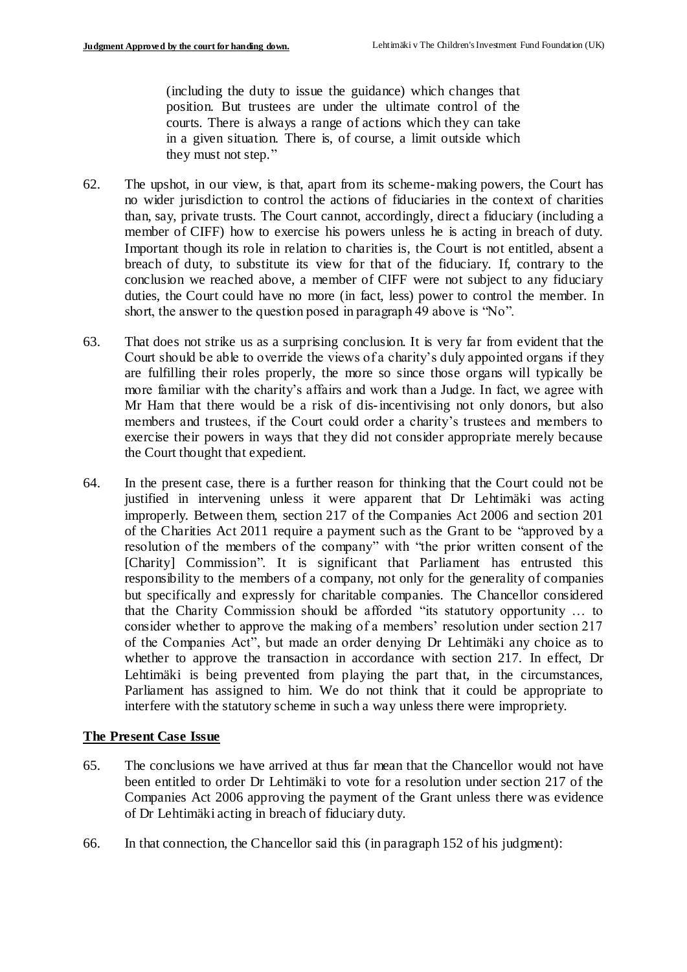(including the duty to issue the guidance) which changes that position. But trustees are under the ultimate control of the courts. There is always a range of actions which they can take in a given situation. There is, of course, a limit outside which they must not step."

- 62. The upshot, in our view, is that, apart from its scheme-making powers, the Court has no wider jurisdiction to control the actions of fiduciaries in the context of charities than, say, private trusts. The Court cannot, accordingly, direct a fiduciary (including a member of CIFF) how to exercise his powers unless he is acting in breach of duty. Important though its role in relation to charities is, the Court is not entitled, absent a breach of duty, to substitute its view for that of the fiduciary. If, contrary to the conclusion we reached above, a member of CIFF were not subject to any fiduciary duties, the Court could have no more (in fact, less) power to control the member. In short, the answer to the question posed in paragraph 49 above is "No".
- 63. That does not strike us as a surprising conclusion. It is very far from evident that the Court should be able to override the views of a charity's duly appointed organs if they are fulfilling their roles properly, the more so since those organs will typically be more familiar with the charity's affairs and work than a Judge. In fact, we agree with Mr Ham that there would be a risk of dis-incentivising not only donors, but also members and trustees, if the Court could order a charity's trustees and members to exercise their powers in ways that they did not consider appropriate merely because the Court thought that expedient.
- 64. In the present case, there is a further reason for thinking that the Court could not be justified in intervening unless it were apparent that Dr Lehtimäki was acting improperly. Between them, section 217 of the Companies Act 2006 and section 201 of the Charities Act 2011 require a payment such as the Grant to be "approved by a resolution of the members of the company" with "the prior written consent of the [Charity] Commission". It is significant that Parliament has entrusted this responsibility to the members of a company, not only for the generality of companies but specifically and expressly for charitable companies. The Chancellor considered that the Charity Commission should be afforded "its statutory opportunity … to consider whether to approve the making of a members' resolution under section 217 of the Companies Act", but made an order denying Dr Lehtimäki any choice as to whether to approve the transaction in accordance with section 217. In effect, Dr Lehtimäki is being prevented from playing the part that, in the circumstances, Parliament has assigned to him. We do not think that it could be appropriate to interfere with the statutory scheme in such a way unless there were impropriety.

#### **The Present Case Issue**

- 65. The conclusions we have arrived at thus far mean that the Chancellor would not have been entitled to order Dr Lehtimäki to vote for a resolution under section 217 of the Companies Act 2006 approving the payment of the Grant unless there was evidence of Dr Lehtimäki acting in breach of fiduciary duty.
- 66. In that connection, the Chancellor said this (in paragraph 152 of his judgment):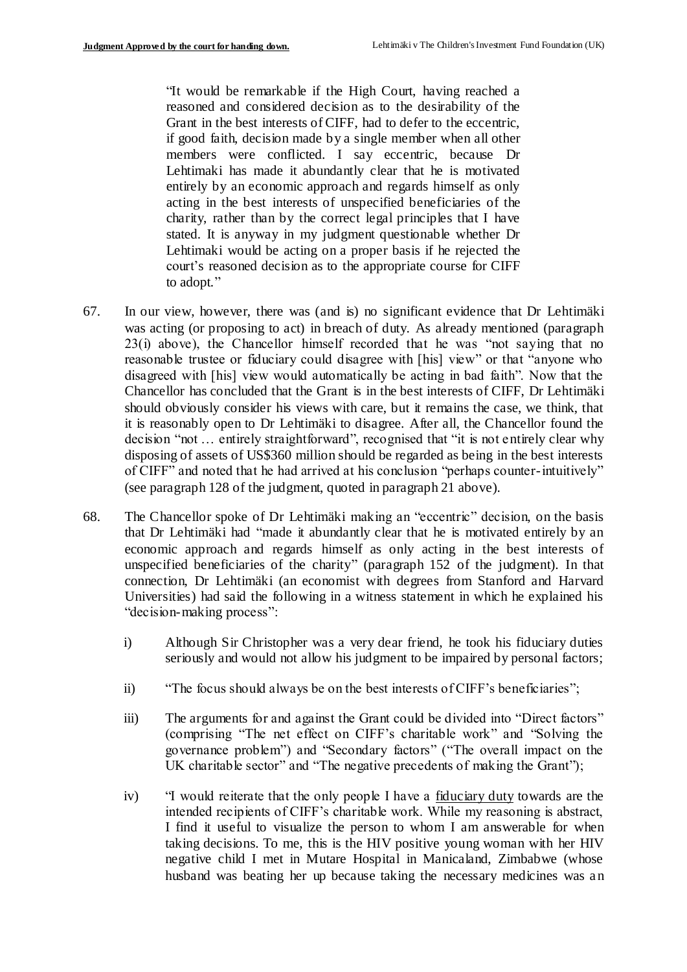"It would be remarkable if the High Court, having reached a reasoned and considered decision as to the desirability of the Grant in the best interests of CIFF, had to defer to the eccentric, if good faith, decision made by a single member when all other members were conflicted. I say eccentric, because Dr Lehtimaki has made it abundantly clear that he is motivated entirely by an economic approach and regards himself as only acting in the best interests of unspecified beneficiaries of the charity, rather than by the correct legal principles that I have stated. It is anyway in my judgment questionable whether Dr Lehtimaki would be acting on a proper basis if he rejected the court's reasoned decision as to the appropriate course for CIFF to adopt."

- 67. In our view, however, there was (and is) no significant evidence that Dr Lehtimäki was acting (or proposing to act) in breach of duty. As already mentioned (paragraph 23(i) above), the Chancellor himself recorded that he was "not saying that no reasonable trustee or fiduciary could disagree with [his] view" or that "anyone who disagreed with [his] view would automatically be acting in bad faith". Now that the Chancellor has concluded that the Grant is in the best interests of CIFF, Dr Lehtimäki should obviously consider his views with care, but it remains the case, we think, that it is reasonably open to Dr Lehtimäki to disagree. After all, the Chancellor found the decision "not … entirely straightforward", recognised that "it is not entirely clear why disposing of assets of US\$360 million should be regarded as being in the best interests of CIFF" and noted that he had arrived at his conclusion "perhaps counter-intuitively" (see paragraph 128 of the judgment, quoted in paragraph 21 above).
- 68. The Chancellor spoke of Dr Lehtimäki making an "eccentric" decision, on the basis that Dr Lehtimäki had "made it abundantly clear that he is motivated entirely by an economic approach and regards himself as only acting in the best interests of unspecified beneficiaries of the charity" (paragraph 152 of the judgment). In that connection, Dr Lehtimäki (an economist with degrees from Stanford and Harvard Universities) had said the following in a witness statement in which he explained his "decision-making process":
	- i) Although Sir Christopher was a very dear friend, he took his fiduciary duties seriously and would not allow his judgment to be impaired by personal factors;
	- ii) "The focus should always be on the best interests of CIFF's beneficiaries";
	- iii) The arguments for and against the Grant could be divided into "Direct factors" (comprising "The net effect on CIFF's charitable work" and "Solving the governance problem") and "Secondary factors" ("The overall impact on the UK charitable sector" and "The negative precedents of making the Grant");
	- iv) "I would reiterate that the only people I have a fiduciary duty towards are the intended recipients of CIFF's charitable work. While my reasoning is abstract, I find it useful to visualize the person to whom I am answerable for when taking decisions. To me, this is the HIV positive young woman with her HIV negative child I met in Mutare Hospital in Manicaland, Zimbabwe (whose husband was beating her up because taking the necessary medicines was a n